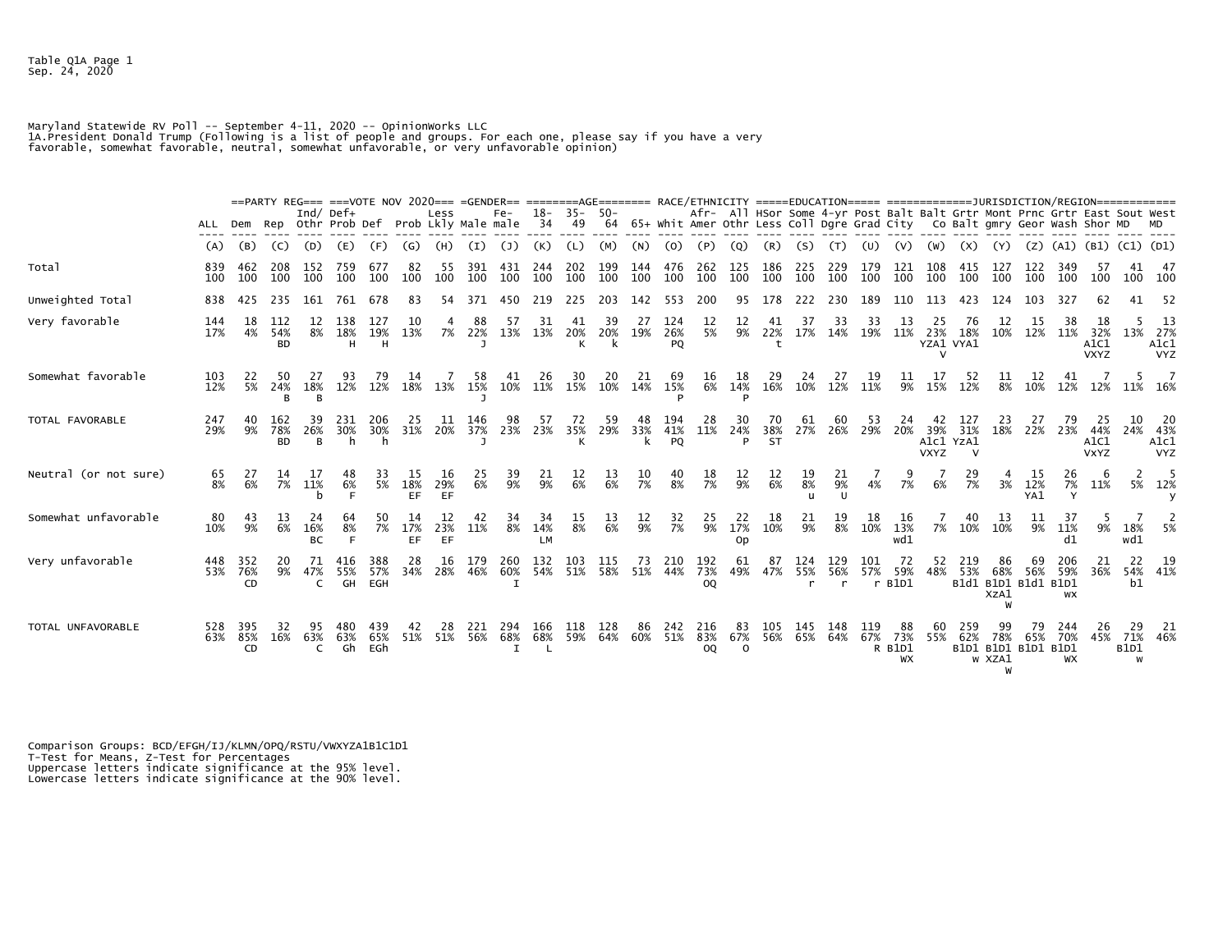Table Q1A Page 1 Sep. 24, 2020

Maryland Statewide RV Poll -- September 4-11, 2020 -- Opinionworks LLC<br>1A.President Donald Trump (Following is a list of people and groups. For each one, please say if you have a very<br>favorable, somewhat favorable, neutral

|                       |            |                  |                         |                        | ==PARTY REG=== ===VOTE NOV 2020=== =GENDER== ========AGE======= RACE/ETHNICITY =====EDUCATION===== ==================DURISDICTION/REGION============== |                   |                   |                  |            |                  |                        |                |            |            |                  |                         |                       |                                                                                                                                                            |                  |                            |            |                       |                                 |                 |                                           |                  |                         |                                  |                   |                                      |
|-----------------------|------------|------------------|-------------------------|------------------------|--------------------------------------------------------------------------------------------------------------------------------------------------------|-------------------|-------------------|------------------|------------|------------------|------------------------|----------------|------------|------------|------------------|-------------------------|-----------------------|------------------------------------------------------------------------------------------------------------------------------------------------------------|------------------|----------------------------|------------|-----------------------|---------------------------------|-----------------|-------------------------------------------|------------------|-------------------------|----------------------------------|-------------------|--------------------------------------|
|                       | ALL Dem    |                  |                         | Ind/ $Def+$            | Rep Othr Prob Def Prob Lkly Male male                                                                                                                  |                   |                   | Less             |            | Fe-              | 18-<br>-34             | $35 -$<br>49   | $50 -$     |            |                  |                         |                       | Afr- All HSor Some 4-yr Post Balt Balt Grtr Mont Prnc Grtr East Sout West<br>64 65+ Whit Amer Othr Less Coll Dgre Grad City Co Balt gmry Geor Wash Shor MD |                  |                            |            |                       |                                 |                 |                                           |                  |                         |                                  |                   |                                      |
|                       | (A)        | (B)              | (C)                     | (D)                    | (E)                                                                                                                                                    | (F)               | $\left( G\right)$ | (H)              | (I)        | (1)              | (K)                    | (L)            | (M)        | (N)        | (0)              |                         | (Q)                   |                                                                                                                                                            | (S)              |                            |            |                       |                                 | (X)             |                                           | (Z)              | (A1)                    | (B1) (C1) (D1)                   |                   |                                      |
| Total                 | 839<br>100 | 462<br>100       | 208<br>100              | 152<br>100             | 759<br>100                                                                                                                                             | 677<br>100        | 82<br>100         | 55<br>100        | 391<br>100 | 431<br>100       | 244<br>100             | 202<br>100     | 199<br>100 | 144<br>100 | 476<br>100       | 262<br>100              | 125<br>100            | 186<br>100                                                                                                                                                 | 225<br>100       | 229<br>100                 | 179<br>100 | 121<br>100            | 108<br>100                      | 415<br>100      | 127<br>100                                | 122<br>100       | 349<br>100              | 100                              | 41                | -47<br>100 100                       |
| Unweighted Total      | 838        | 425              | 235                     | 161                    | 761                                                                                                                                                    | 678               | 83                | 54               | 371        | 450              | 219                    | 225            | 203        | 142        | 553              | 200                     | 95                    | 178                                                                                                                                                        | 222              | 230                        | 189        | 110                   | 113                             |                 | 124                                       | 103              |                         |                                  |                   | -52                                  |
| Very favorable        | 144<br>17% | 18<br>4%         | 112<br>54%<br>BD        | 12<br>8%               | 138<br>18%<br>н                                                                                                                                        | 127<br>19%<br>н   | 10<br>13%         | 7%               | 88<br>22%  | 13%              | 31<br>13%              | 41<br>20%<br>К | 39<br>20%  | 27<br>19%  | 124<br>26%<br>PQ | 12<br>5%                | 12<br>9%              | 22%                                                                                                                                                        | 37               | -33<br>17% 14%             | 33<br>19%  | 13<br>11%             | 23%<br>YZA1 VYA1                | 76<br>18%       | 12<br>10%                                 | 12%              | 11%                     | 18<br>32%<br>A1C1<br><b>VXYZ</b> |                   | -13<br>13% 27%<br>A1c1<br><b>VYZ</b> |
| Somewhat favorable    | 103<br>12% | 22<br>5%         | 50<br>24%               | -27<br>18%             | 12%                                                                                                                                                    | 79<br>12%         | 14                | 18% 13%          | 58         | 15% 10% 11% 15%  | 26                     |                | 20<br>10%  | 21<br>14%  | 69<br>15%        | 16<br>6%                | 18<br>14%             | 29<br>16%                                                                                                                                                  | 24               | 27<br>10% 12%              | 11%        | 9%                    | 15%                             | 52<br>12%       | 8%                                        | 10%              | 12%                     | 12%                              |                   | $5^{\circ}$<br>11% 16%               |
| TOTAL FAVORABLE       | 247<br>29% | 40<br>9%         | 162<br>78%<br><b>BD</b> | 39<br>26%<br><b>B</b>  | 231<br>30%<br>h                                                                                                                                        | 206<br>30%<br>h   | 25<br>31%         | 20%              | 146<br>37% | 98<br>23%        | 57<br>23%              | 72<br>35%      | 59<br>29%  | 48<br>33%  | 194<br>41%<br>PQ | 28<br>11%               | 30<br>24%<br>P        | 70<br>38%<br><b>ST</b>                                                                                                                                     | 61<br>27%        | 60<br>26%                  | 53<br>29%  | 24<br>20%             | 39%<br>A1c1 YzA1<br><b>VXYZ</b> | 127<br>31%<br>v | 23<br>18%                                 | 27<br>22%        | 23%                     | 44%<br>A1C1<br><b>VXYZ</b>       | 10<br>24%         | 20<br>43%<br>A1c1<br><b>VYZ</b>      |
| Neutral (or not sure) | 65<br>8%   | 27<br>6%         | 14<br>7%                | -17<br>11%             | 48<br>6%                                                                                                                                               | 33<br>5%          | 15<br>18%<br>EF   | -16<br>29%<br>EF | 25<br>6%   | 39<br>9%         | 21<br>9%               | 12<br>6%       | 13<br>6%   | 10<br>7%   | 40<br>8%         | 18<br>7%                | 12<br>9%              | $\frac{12}{6\%}$                                                                                                                                           | $\frac{19}{8\%}$ | 21<br>9%                   | 4%         | 7%                    | 6%                              | 29<br>7%        | 3%                                        | 15<br>12%<br>YA1 | 26<br>7%                | 11%                              | 2                 | 5% 12%                               |
| Somewhat unfavorable  | 80<br>10%  | 43<br>9%         | 13<br>6%                | 24<br>16%<br><b>BC</b> | 64<br>8%<br>E                                                                                                                                          | 50<br>7%          | 14<br>17%<br>EF   | 12<br>23%<br>EF  | 11%        | 8%               | 34<br>14%<br><b>LM</b> | 15<br>8%       | 13<br>6%   | 12<br>9%   | 32<br>7%         | 25<br>9%                | 22<br>17%<br>Op       | 18<br>10%                                                                                                                                                  | 21<br>9%         | $\frac{19}{8\%}$           | 18<br>10%  | 16<br>13%<br>wd1      |                                 | 7% 10%          | 13<br>10%                                 | 9%               | 11%<br>d1               | 9%                               | 18%<br>wd1        | 5%                                   |
| Very unfavorable      | 448<br>53% | 352<br>76%<br>CD | 20<br>9%                | 71<br>47%<br>C         | 416<br>55%<br>GH                                                                                                                                       | 388<br>57%<br>EGH | 28<br>34%         | 16<br>28%        | 179<br>46% | 260<br>60%       | 132<br>54%             | 103<br>51%     | 115<br>58% | 73<br>51%  | 210<br>44%       | 192<br>73%<br><b>OQ</b> | 61<br>49%             | 87<br>47%                                                                                                                                                  | 124<br>55%<br>r  | 129<br>56%<br>$\mathbf{r}$ | 101<br>57% | 72<br>59%<br>$r$ B1D1 | 52<br>48%                       | 219<br>53%      | 86<br>68%<br>B1d1 B1D1 B1d1 B1D1<br>XzA1  | 69<br>56%        | 206<br>59%<br><b>WX</b> | 21<br>36%                        | 22<br>b1          | 19<br>54% 41%                        |
| TOTAL UNFAVORABLE     | 528<br>63% | 395<br>85%<br>CD | 32<br>16%               | 95<br>63%<br>C         | 480<br>63%<br>Gh                                                                                                                                       | 439<br>65%<br>EGh | 42<br>51%         | 28<br>51%        | 221<br>56% | 294<br>68%<br>I. | 166<br>68%             | 118<br>59%     | 128<br>64% | 86<br>60%  | 242<br>51%       | 216<br>83%<br>OQ        | 83<br>67%<br>$\Omega$ | 105<br>56%                                                                                                                                                 | 145<br>65%       | 148<br>64%                 | 119<br>67% | 73%<br>R B1D1<br>WX   | 60.                             | 259<br>55% 62%  | 78%<br>B1D1 B1D1 B1D1 B1D1<br>w XZA1<br>W | 79<br>65%        | 244<br>70%<br><b>WX</b> | 26<br>45%                        | 29<br><b>B1D1</b> | -21<br>71% 46%                       |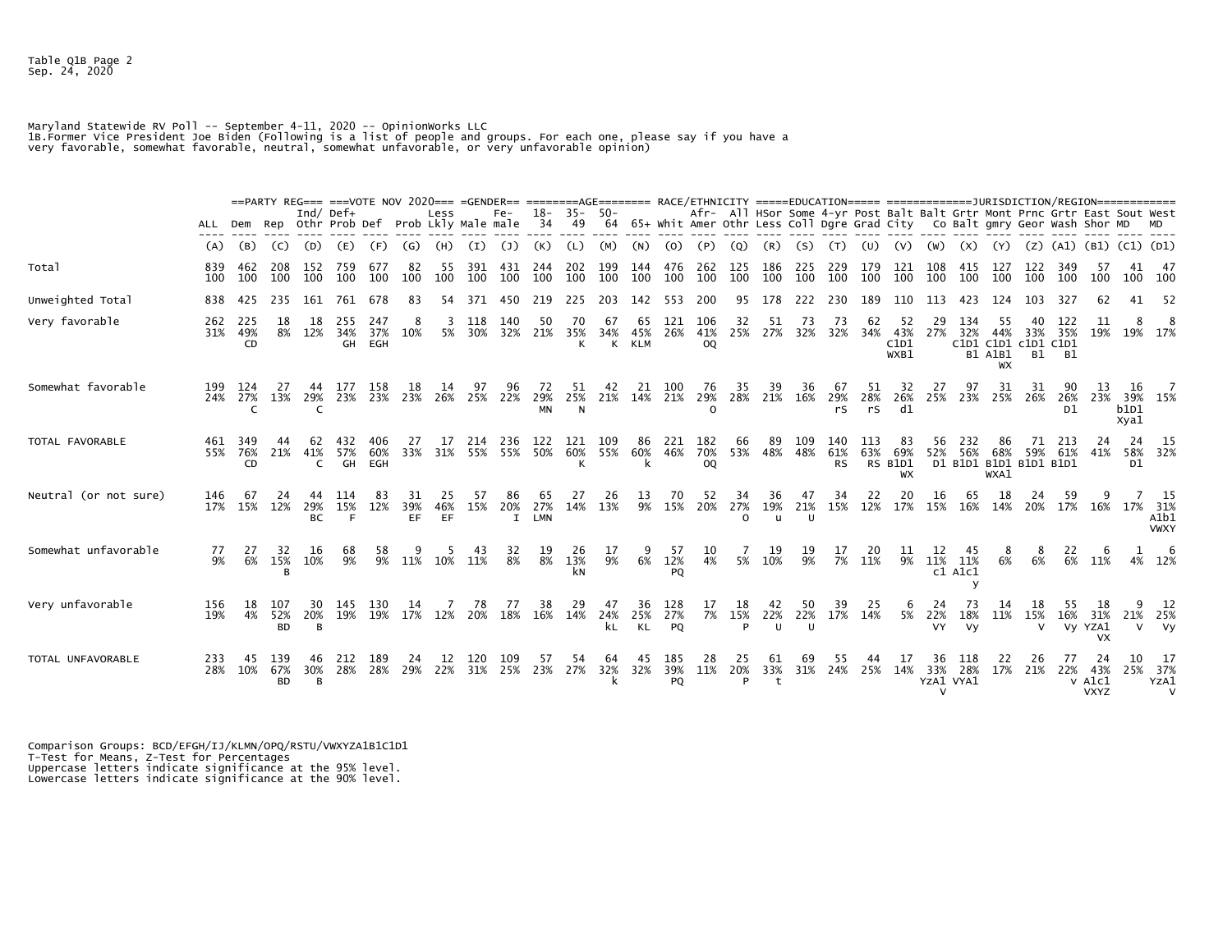Table Q1B Page 2 Sep. 24, 2020

Maryland Statewide RV Poll -- September 4-11, 2020 -- OpinionWorks LLC<br>1B.Former Vice President Joe Biden (Following is a list of people and groups. For each one, please say if you have a<br>very favorable, somewhat favorable

|                       |                 |                  |                         |                        | ==PARTY REG=== ===VOTE NOV 2020=== =GENDER== ========AGE======= RACE/ETHNICITY =====EDUCATION===== ===================DURISDICTION/REGION============= |                   |                  |                 |            |                           |                        |                      |                 |                        |                         |                         |                       |                                                                                                                                                            |                 |                         |                 |                            |                             |                                |                            |                               |                                          |                                         |                    |                                    |
|-----------------------|-----------------|------------------|-------------------------|------------------------|--------------------------------------------------------------------------------------------------------------------------------------------------------|-------------------|------------------|-----------------|------------|---------------------------|------------------------|----------------------|-----------------|------------------------|-------------------------|-------------------------|-----------------------|------------------------------------------------------------------------------------------------------------------------------------------------------------|-----------------|-------------------------|-----------------|----------------------------|-----------------------------|--------------------------------|----------------------------|-------------------------------|------------------------------------------|-----------------------------------------|--------------------|------------------------------------|
|                       | ALL             | Dem              |                         | Ind/ $Def+$            | Rep Othr Prob Def Prob Lkly Male male                                                                                                                  |                   |                  | Less            |            | $Fe-$                     | $18-$<br>34            | $35 -$<br>49         | -50-            |                        |                         |                         |                       | Afr- All HSor Some 4-yr Post Balt Balt Grtr Mont Prnc Grtr East Sout West<br>64 65+ Whit Amer Othr Less Coll Dgre Grad City Co Balt gmry Geor Wash Shor MD |                 |                         |                 |                            |                             |                                |                            |                               |                                          |                                         |                    |                                    |
|                       | (A)             | (B)              | (C)                     | (D)                    | (E)                                                                                                                                                    | (F)               | (G)              | (H)             | (I)        | (J)                       | (K)                    | (L)                  | (M)             | (N)                    | (0)                     | (P)                     | (Q)                   | (R)                                                                                                                                                        | (S)             | (T)                     | (U)             | (V)                        | (W)                         | (x)                            | (Y)                        |                               | $(Z)$ $(A1)$                             | (B1) (C1) (D1)                          |                    |                                    |
| Total                 | 839<br>100      | 462<br>100       | 208<br>100              | 152<br>100             | 759<br>100                                                                                                                                             | 677<br>100        | 82<br>100        | 55<br>100       | 391<br>100 | 431<br>100                | 244<br>100             | 202<br>100           | 199<br>100      | 144<br>100             | 476<br>100              | 262<br>100              | 125<br>100            | 186<br>100                                                                                                                                                 | 225<br>100      | 229<br>100              | 179<br>100      | 121<br>100                 | 108<br>100                  | 415<br>100                     | 127<br>100                 | 122<br>100                    | 349<br>100                               | 100                                     | 41<br>100          | 47<br>100                          |
| Unweighted Total      | 838             | 425              | 235                     | 161                    | 761                                                                                                                                                    | 678               | 83               | 54              | 371        | 450                       | 219                    | 225                  | 203             | 142                    | 553                     | 200                     | 95                    | 178                                                                                                                                                        | 222             | 230                     | 189             | 110                        | 113                         | 423                            | 124                        | 103                           | 327                                      | 62                                      | 41                 | -52                                |
| Very favorable        | 262<br>31%      | 225<br>49%<br>CD | 18<br>8%                | 18<br>12%              | 255<br>34%<br>GH                                                                                                                                       | 247<br>37%<br>EGH | 8<br>10%         | 3<br>5%         | 118<br>30% | 140<br>32%                | 50<br>21%              | 70<br>35%<br>K       | 67<br>34%       | 65<br>45%<br>K KLM     | 121<br>26%              | 106<br>41%<br><b>OQ</b> | 32<br>25%             | 51<br>27%                                                                                                                                                  | 73<br>32%       | 73<br>32%               | 62<br>34%       | -52<br>43%<br>C1D1<br>WXB1 | 29<br>27%                   | 134<br>32%<br>C1D1 C1D1        | 55<br>44%<br>B1 A1B1<br>WX | 33%<br>c1D1 C1D1<br><b>B1</b> | 122<br>35%<br>- B1                       | 11<br>19%                               | 8                  | -8<br>19% 17%                      |
| Somewhat favorable    | 199<br>24%      | 124<br>27%<br>C  | 27<br>13%               | 44<br>29%              | 177<br>23%                                                                                                                                             | 158<br>23%        | 18<br>23%        | 14<br>26%       | 97<br>25%  | 96<br>22%                 | 72<br>29%<br><b>MN</b> | 51<br>25%<br>N       | 42<br>21%       | 21<br>14%              | 100<br>21%              | 76<br>29%<br>$\Omega$   | 35<br>28%             | 39<br>21%                                                                                                                                                  | 36<br>16%       | 67<br>29%<br>rS.        | 51<br>28%<br>rs | 32<br>26%<br>d1            | 27<br>25%                   | 97<br>23%                      | 31<br>25%                  | 31<br>26%                     | 90<br>26%<br>D <sub>1</sub>              | 13<br>23%                               | 16<br>b1D1<br>Xya1 | 39% 15%                            |
| TOTAL FAVORABLE       | 461<br>55%      | 349<br>76%<br>CD | 44<br>21%               | 62<br>41%<br>C         | 432<br>57%<br>GH                                                                                                                                       | 406<br>60%<br>EGH | 27<br>33%        | 17<br>31%       | 214<br>55% | 236<br>55%                | 122<br>50%             | 121<br>60%<br>К      | 109<br>55%      | 86<br>60%              | 221<br>46%              | 182<br>70%<br>OQ        | 66<br>53%             | 89<br>48%                                                                                                                                                  | 109<br>48%      | 140<br>61%<br><b>RS</b> | 113<br>63%      | 83<br>69%<br>RS B1D1<br>WX | 56<br>52%                   | 232<br>56%<br>D1 B1D1 B1D1     | 86<br>68%<br>WXA1          | 71<br>59%<br>B1D1 B1D1        | 213<br>61%                               | -24<br>41%                              | 24<br>D1           | - 15<br>58% 32%                    |
| Neutral (or not sure) | 146<br>17%      | 67<br>15%        | 24<br>12%               | 44<br>29%<br><b>BC</b> | 114<br>15%<br>F.                                                                                                                                       | 83<br>12%         | 31<br>39%<br>EF. | 25<br>46%<br>EF | 57<br>15%  | 86<br>20%<br>$\mathbf{I}$ | 65<br>27%<br>LMN       | 27<br>14%            | 26<br>13%       | 13<br>9%               | 70<br>15%               | 52<br>20%               | 34<br>27%<br>$\Omega$ | 36<br>19%<br>$\mathbf{H}$                                                                                                                                  | 47<br>21%<br>U  | 34<br>15%               | 22<br>12%       | 20<br>17%                  | 16<br>15%                   | 65<br>16%                      | 18<br>14%                  | 24<br>20%                     | 59<br>17%                                | 16%                                     | 17%                | - 15<br>31%<br>A1b1<br><b>VWXY</b> |
| Somewhat unfavorable  | $\frac{77}{9%}$ | 6%               | 32<br>15%<br>R          | 16<br>10%              | 68<br>9%                                                                                                                                               | 9%                | $11\%$           | 10%             | 11%        | 32<br>8%                  | $\frac{19}{8\%}$       | $^{26}_{13\%}$<br>kΝ | $\frac{17}{9%}$ | 6%                     | 57<br>12%<br>PO         | 10<br>4%                | 5%                    | $\begin{array}{c} 19 \\ 10\% \end{array}$                                                                                                                  | $\frac{19}{9%}$ | $\overline{7}\%$        | $^{20}_{11\%}$  | $\frac{11}{9%}$            | 12<br>11%                   | 45<br>11%<br>c1 A1c1<br>$\vee$ | 6%                         | 6%                            | $\begin{array}{c} 22 \\ 6\% \end{array}$ | 11%                                     |                    | -6<br>4% 12%                       |
| Very unfavorable      | 156<br>19%      | -18<br>4%        | 107<br>52%<br><b>BD</b> | 30<br>20%<br><b>B</b>  | 145<br>19%                                                                                                                                             | 130<br>19%        | 14<br>17%        | 12%             | 78<br>20%  | 77<br>18%                 | 38<br>16%              | 29<br>14%            | 47<br>24%<br>kL | 36<br>25%<br><b>KL</b> | 128<br>27%<br><b>PQ</b> | 17<br>7%                | 18<br>15%<br>P        | 42<br>22%<br>U                                                                                                                                             | 50<br>22%<br>U  | 39<br>17%               | 25<br>14%       | 6<br>5%                    | 24<br>22%<br>VY.            | 73<br>18%<br><b>Vy</b>         | 14<br>11%                  | 18<br>15%<br>$\vee$           | 55<br>16%                                | 18<br>31%<br>Vy YZA1<br><b>VX</b>       | 21%                | -12<br>25%<br>V.<br><b>Vy</b>      |
| TOTAL UNFAVORABLE     | 233<br>28%      | -45<br>10%       | 139<br>67%<br><b>BD</b> | 46<br>30%<br><b>B</b>  | 212<br>28%                                                                                                                                             | 189<br>28%        | 24<br>29%        | 12<br>22%       | 120<br>31% | 109<br>25%                | 57<br>23%              | 54<br>27%            | 64<br>32%       | 45<br>32%              | 185<br>39%<br>PQ        | 28<br>11%               | 25<br>20%<br>P        | 61<br>33%                                                                                                                                                  | 69<br>31%       | 55<br>24%               | 44<br>25%       | 17<br>14%                  | 36<br>33%<br>YZA1 VYA1<br>v | 118<br>28%                     | 22<br>17%                  | 26<br>21%                     | 77<br>22%                                | 24<br>43%<br>$v$ Alc $1$<br><b>VXYZ</b> | 10                 | -17<br>25% 37%<br>YZA1<br>v        |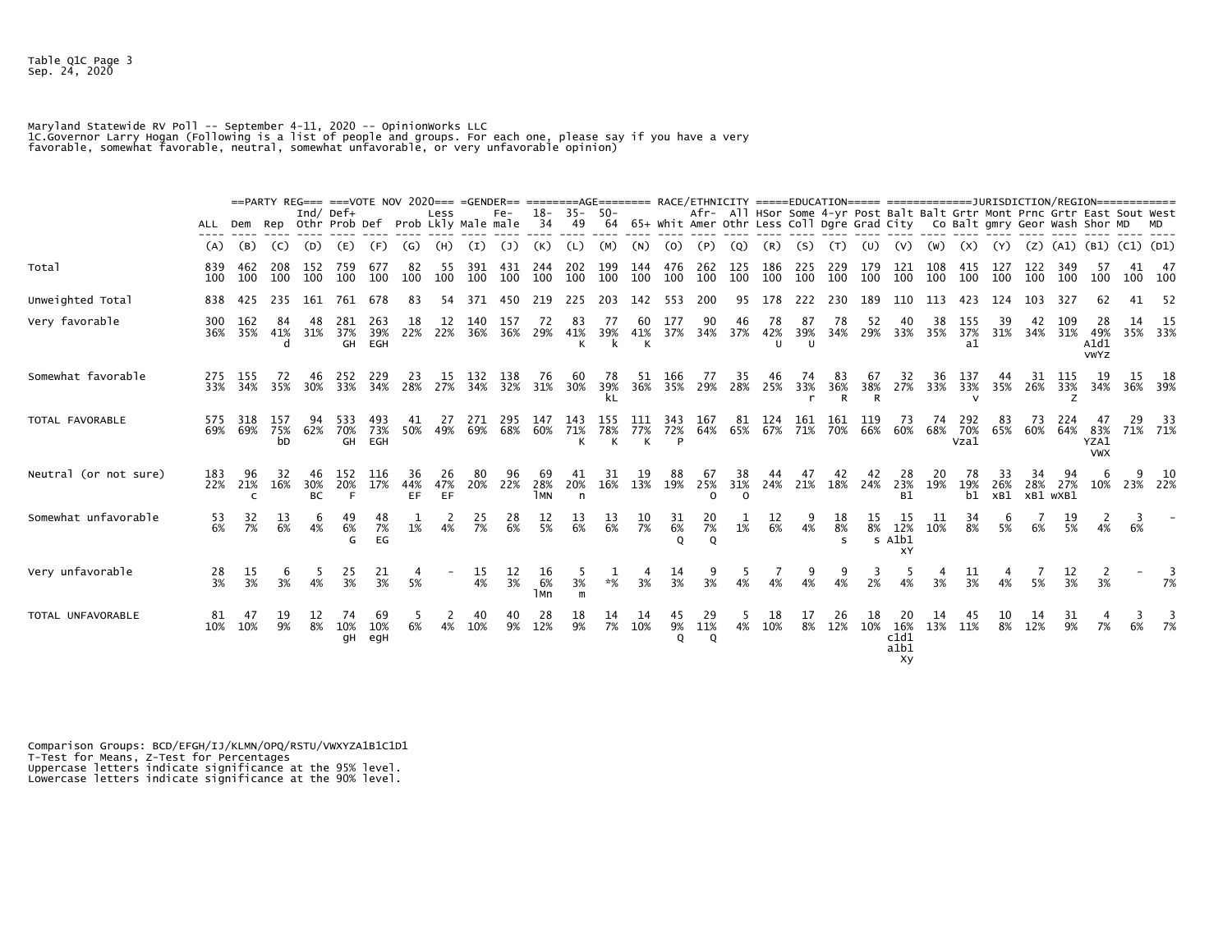Table Q1C Page 3 Sep. 24, 2020

Maryland Statewide RV Poll -- September 4-11, 2020 -- Opinionworks LLC<br>1C.Governor Larry Hogan (Following is a list of people and groups. For each one, please say if you have a very<br>favorable, somewhat favorable, neutral,

|                       |                  |                |                  | $\text{Ind}/\text{Def}+$ |                   |                      |                        | Less            |                  | $Fe-$            | $18-$                   | $35 -$           | $50-$            |                  |                                               |                             |                       |                           |                           |                          |                  |                                 |            | Afr- All HSor Some 4-yr Post Balt Balt Grtr Mont Prnc Grtr East Sout West  |                  |                 |                 |                                  |           |                    |
|-----------------------|------------------|----------------|------------------|--------------------------|-------------------|----------------------|------------------------|-----------------|------------------|------------------|-------------------------|------------------|------------------|------------------|-----------------------------------------------|-----------------------------|-----------------------|---------------------------|---------------------------|--------------------------|------------------|---------------------------------|------------|----------------------------------------------------------------------------|------------------|-----------------|-----------------|----------------------------------|-----------|--------------------|
|                       | ALL Dem          |                |                  |                          | Rep Othr Prob Def |                      | Prob Lkly Male male    |                 |                  |                  | 34                      | 49               | 64               |                  |                                               |                             |                       |                           |                           |                          |                  |                                 |            | 65+ Whit Amer Othr Less Coll Dgre Grad City Co Balt gmry Geor Wash Shor MD |                  |                 |                 |                                  |           |                    |
|                       | (A)              | (B)            | (C)              | (D)                      | (E)               | (F)                  | (G)                    | (H)             | (I)              | (1)              | (K)                     |                  | (M)              | (N)              | (O.                                           |                             | (Q)                   |                           | (S.                       |                          |                  |                                 |            |                                                                            |                  | (z)             | (A1)            | (BI)                             | (C1) (D1) |                    |
| Total                 | 839<br>100       | 462<br>100     | 208<br>100       | 152<br>100               | 759<br>100        | 677<br>100           | 82<br>100              | 55<br>100       | 391<br>100       | 431<br>100       | 244<br>100              | 202<br>100       | 199<br>100       | 144<br>100       | 476<br>100                                    | 262<br>100                  | 125<br>100            | 186<br>100                | 225<br>100                | 229<br>100               | 179<br>100       | 121<br>100                      | 108<br>100 | 415<br>100                                                                 | 127<br>100       | 122<br>100      | 349<br>100      | -57<br>100                       | 41        | -47<br>100 100     |
| Unweighted Total      | 838              | 425            | 235              | 161                      | 761               | 678                  | 83                     | 54              | 371              |                  |                         |                  | 203              | 142              | 553                                           |                             | 95                    |                           | 222                       | 230                      | 189              |                                 |            |                                                                            | 124              | 103             |                 |                                  |           | -52                |
| Very favorable        | 300<br>36%       | 162<br>35%     | 84<br>41%<br>d   | 48<br>31%                | 281<br>37%<br>GH  | 263<br>39%<br>EGH    | 18<br>22%              | 12<br>22%       | 140<br>36%       | 157<br>36%       | 72<br>29%               | 83<br>41%<br>К   | 77<br>39%<br>k   | 60<br>41%<br>К   | 177<br>37%                                    | 90<br>34%                   | 46<br>37%             | 78<br>42%<br>$\mathbf{U}$ | 87<br>39%<br>$\mathbf{U}$ | 78<br>34%                | 52<br>29%        | 33%                             | 38<br>35%  | 155<br>37%<br>a1                                                           | 39<br>31%        | 34%             | 31%             | 28<br>49%<br>A1d1<br><b>VWYZ</b> |           | 14 15<br>35% 33%   |
| Somewhat favorable    | 275<br>33%       | 155<br>34%     | 72<br>35%        | 46<br>30%                | 252<br>33%        | -229<br>34%          | 23<br>28%              | 15<br>27%       | 132<br>34%       | 138<br>32%       | 76<br>31%               | 60<br>30%        | 78<br>39%<br>kL  | -51<br>36%       | 166<br>35%                                    | 77<br>29%                   | 35<br>28%             | 46<br>25%                 | 74<br>33%                 | 83<br>36%<br>R           | 67<br>38%<br>R   | 32<br>27%                       | 36<br>33%  | 137<br>33%<br>$\mathbf{v}$                                                 | 44<br>35%        | 31<br>26%       | 115<br>33%<br>z | 19<br>34%                        | 15        | 36% 39%            |
| TOTAL FAVORABLE       | 575<br>69%       | 318<br>69%     | 157<br>75%<br>bD | 94<br>62%                | 533<br>70%        | 493<br>73%<br>GH EGH | 41<br>50%              | 27<br>49%       | 271<br>69%       | 295<br>68%       | 147<br>60%              | 143<br>71%<br>К  | 155<br>78%<br>К  | 111<br>77%<br>К  | 343<br>72%<br>P                               | 167<br>64%                  | 81<br>65%             | 124<br>67%                | 161<br>71%                | 161<br>70%               | 119<br>66%       | -73<br>60%                      | 74<br>68%  | 292<br>70%<br>Vza1                                                         | 83<br>65%        | -73<br>60%      | 224<br>64%      | 47<br>83%<br>YZA1<br><b>VWX</b>  | 29        | - 33<br>71% 71%    |
| Neutral (or not sure) | 183<br>22%       | 96<br>21%<br>C | 32<br>16%        | 46<br>30%<br><b>BC</b>   | 152<br>20%<br>F   | 116<br>17%           | 36<br>44%<br><b>EF</b> | 26<br>47%<br>EF | 80<br>20%        | 96<br>22%        | 69<br>28%<br><b>TMN</b> | 41<br>20%<br>n   | 31<br>16%        | 19<br>13%        | 88<br>19%                                     | 67<br>25%<br>$\Omega$       | 38<br>31%<br>$\Omega$ | 44<br>24%                 | 47                        | 42<br>21% 18%            | 42<br>24%        | 28<br>23%<br><b>B1</b>          | 20<br>19%  | 78<br>19%<br>b1                                                            | 33<br>26%<br>xB1 | 28%<br>XB1 wXB1 | 94<br>27%       | 6                                |           | -10<br>10% 23% 22% |
| Somewhat unfavorable  | 53<br>6%         | 32<br>7%       | 6%               | 6<br>$4\overline{2}$     | 49<br>6%<br>G     | 48<br>7%<br>EG       | 1%                     | 4%              | $\frac{25}{7\%}$ | 28<br>6%         | $\frac{12}{5\%}$        | $\frac{13}{6\%}$ | $\frac{13}{6\%}$ | $\frac{10}{7\%}$ | $\begin{array}{c} 31 \\ 6\% \end{array}$<br>0 | 20<br>$\overline{7}\%$<br>Q | $1\overline{2}$       | $\frac{12}{6%}$           | $4\%$                     | 18<br>8%<br><sub>S</sub> | $\frac{15}{8\%}$ | 15<br>12%<br>s Alb1<br>XY       | 10%        | 34<br>8%                                                                   | 5%               | 6%              | 5%              | 4%                               | 6%        |                    |
| Very unfavorable      | $\frac{28}{3\%}$ | 15<br>3%       | 6<br>3%          | 5<br>4%                  | $\frac{25}{3%}$   | $\frac{21}{3\%}$     | 4<br>5%                |                 | 15<br>4%         | $\frac{12}{3\%}$ | 16<br>6%<br>lмn         | 5<br>3%<br>m     | $* \frac{g}{6}$  | 3%               | 14<br>3%                                      | 9<br>3%                     | 4%                    | 4%                        | 9<br>4%                   | 9<br>4%                  | -3<br>2%         | 4%                              | 3%         | 11<br>3%                                                                   | 4%               | 5%              | 12<br>3%        | 2<br>3%                          |           | 7%                 |
| TOTAL UNFAVORABLE     | 81<br>10%        | 47<br>10%      | 19<br>9%         | $\frac{12}{8\%}$         | 74<br>10%<br>gН   | 69<br>10%<br>egH     | 5<br>6%                | 4%              | 10%              | 9%               | $^{28}_{12\%}$          | $\frac{18}{9%}$  | $\frac{14}{7\%}$ | -14<br>10%       | 45<br>9%<br>Q                                 | 29<br>11%<br>Q              | 4%                    | 18<br>10%                 | 17<br>8%                  | 26<br>12%                | 18<br>10%        | 20<br>16%<br>c1d1<br>a1b1<br>Xy | 14<br>13%  | 45<br>11%                                                                  | $\frac{10}{8\%}$ | 12%             | 31<br>$9\%$     | 7%                               | 6%        | 7%                 |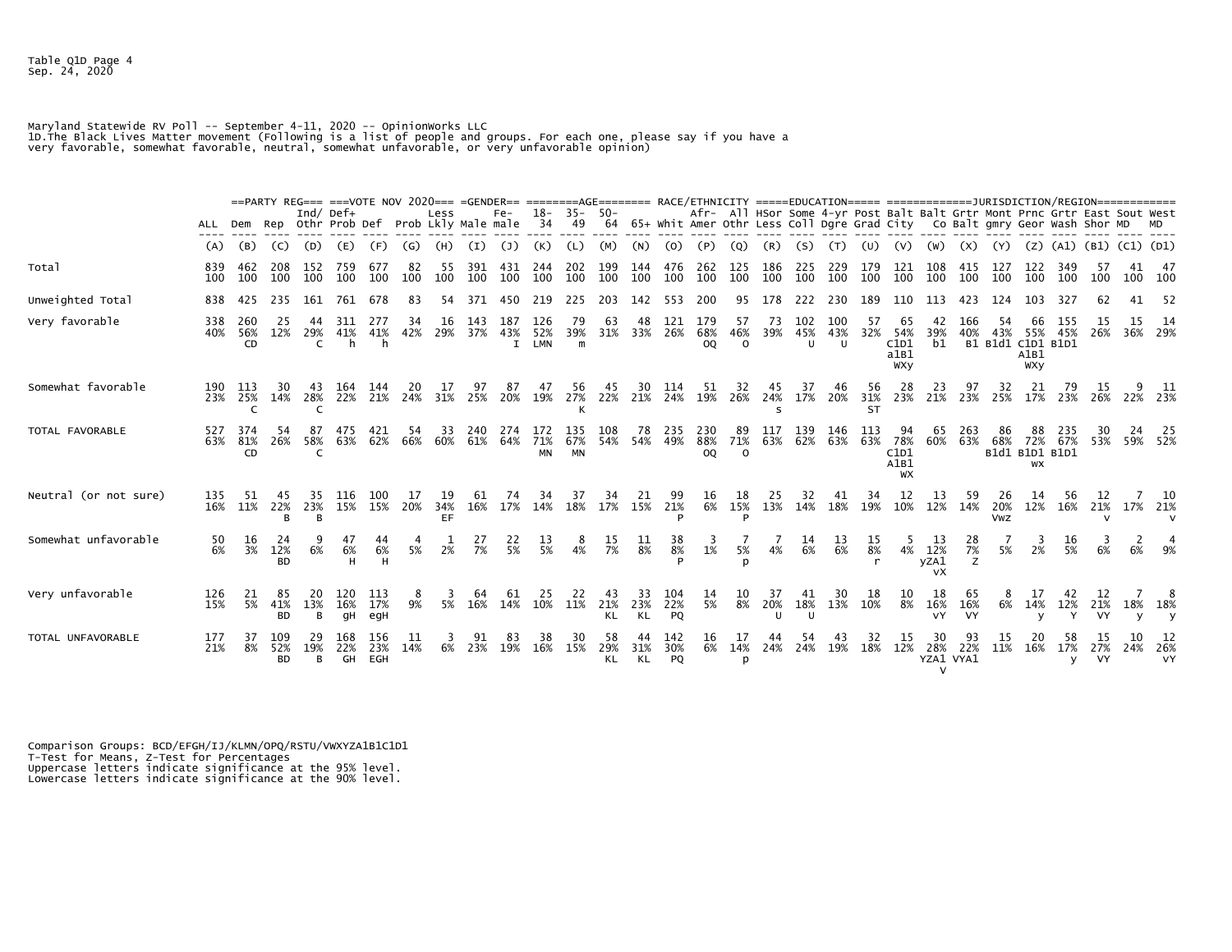Table Q1D Page 4 Sep. 24, 2020

Maryland Statewide RV Poll -- September 4-11, 2020 -- Opinionworks LLC<br>1D.The Black Lives Matter movement (Following is a list of people and groups. For each one, please say if you have a<br>very favorable, somewhat favorable

|                       |            |                  |                         |                |                  |                   | ==PARTY REG=== ===VOTE NOV 2020=== =GENDER== ========AGE======= RACE/ETHNICITY =====EDUCATION===== ===================DURISDICTION/REGION============= |                 |            |                  |                          |                         |                 |                  |                         |                         |                       |                                                                                                                                                            |                 |                  |                        |                                  |                                  |                 |                                |                    |            |                           |           |                 |
|-----------------------|------------|------------------|-------------------------|----------------|------------------|-------------------|--------------------------------------------------------------------------------------------------------------------------------------------------------|-----------------|------------|------------------|--------------------------|-------------------------|-----------------|------------------|-------------------------|-------------------------|-----------------------|------------------------------------------------------------------------------------------------------------------------------------------------------------|-----------------|------------------|------------------------|----------------------------------|----------------------------------|-----------------|--------------------------------|--------------------|------------|---------------------------|-----------|-----------------|
|                       | ALL        | Dem              |                         |                | Ind/ Def $+$     |                   | Rep Othr Prob Def Prob Lkly Male male                                                                                                                  | Less            |            | Fe-              | 18-<br>34                | $35 - 50 -$<br>49       |                 |                  |                         |                         |                       | Afr- All HSor Some 4-yr Post Balt Balt Grtr Mont Prnc Grtr East Sout West<br>64 65+ Whit Amer Othr Less Coll Dgre Grad City Co Balt gmry Geor Wash Shor MD |                 |                  |                        |                                  |                                  |                 |                                |                    |            |                           |           |                 |
|                       | (A)        | (B)              | (C)                     | (D)            | (E)              | (F)               | (G)                                                                                                                                                    | (H)             | (I)        | (1)              | (K)                      | (L)                     | (M)             | (N)              | (O)                     | (P                      | (Q)                   | (R)                                                                                                                                                        | (S)             |                  |                        |                                  |                                  | (X)             |                                | (Z)                | (A1)       | (B1) (C1) (D1)            |           |                 |
| Total                 | 839<br>100 | 462<br>100       | 208<br>100              | 152<br>100     | 759<br>100       | 677<br>100        | 82<br>100                                                                                                                                              | 55<br>100       | 391<br>100 | 431<br>100       | 244<br>100               | 202<br>100              | 199<br>100      | 144<br>100       | 476<br>100              | 262<br>100              | 125<br>100            | 186<br>100                                                                                                                                                 | 225<br>100      | 229<br>100       | 179<br>100             | 121<br>100                       | 108<br>100                       | 415<br>100      | 127<br>100                     | 122<br>100         | 349<br>100 | 100                       | 41        | -47<br>100 100  |
| Unweighted Total      | 838        | 425              | 235                     | 161            | 761              | 678               | 83                                                                                                                                                     | 54              | 371        | 450              |                          | 225                     | 203             | 142              | 553                     | 200                     | 95                    | 178                                                                                                                                                        | 222             | 230              | 189                    | 110                              | 113                              | 423             | 124                            | 103                |            |                           | 41        | -52             |
| Very favorable        | 338<br>40% | 260<br>56%<br>CD | 25<br>12%               | 44<br>29%<br>C | 311<br>41%<br>h  | 277<br>41%<br>h   | 34<br>42%                                                                                                                                              | 16<br>29%       | 143<br>37% | 187<br>43%<br>I. | 126<br>52%<br><b>LMN</b> | 79<br>39%<br>m          | 63<br>31%       | 48<br>33%        | 121<br>26%              | 179<br>68%<br>0Q        | 57<br>46%<br>$\Omega$ | 73<br>39%                                                                                                                                                  | 102<br>45%<br>U | 100<br>43%<br>U  | 57<br>32%              | 65<br>54%<br>C1D1<br>a1B1<br>WXY | 42<br>39%<br>b1                  | 166<br>40%      | 54<br>43%<br>B1 B1d1 C1D1 B1D1 | 55%<br>A1B1<br>WXY | 155<br>45% | 26%                       | 15<br>36% | 14<br>29%       |
| Somewhat favorable    | 190<br>23% | 113<br>25%<br>C  | 30.<br>14%              | 43<br>28%<br>C | 164<br>22%       | 144<br>21%        | 24%                                                                                                                                                    | 31%             | 97<br>25%  | 87<br>20%        | 47<br>19%                | 56<br>27%               | 45<br>22%       | 30<br>21%        | 114<br>24%              | 51<br>19%               | 32<br>26%             | 45<br>24%<br>$\varsigma$                                                                                                                                   | 37<br>17%       | 46<br>20%        | 56<br>31%<br><b>ST</b> | 28<br>23%                        | 23<br>21%                        | 97<br>23%       | 32<br>25%                      | 21<br>17%          | 23%        | -15<br>26%                |           | 9 11<br>22% 23% |
| TOTAL FAVORABLE       | 527<br>63% | 374<br>81%<br>CD | 26%                     | 87<br>58%<br>C | 475<br>63%       | 421<br>62%        | 54<br>66%                                                                                                                                              | 33<br>60%       | 240<br>61% | 64%              | 71%<br><b>MN</b>         | 135<br>67%<br><b>MN</b> | 108<br>54%      | 78<br>54%        | 235<br>49%              | 230<br>88%<br><b>OQ</b> | 89<br>71%<br>$\Omega$ | 117<br>63%                                                                                                                                                 | 139<br>62%      | 146<br>63%       | 113<br>63%             | 78%<br>C1D1<br>A1B1<br>WX        | 65<br>60%                        | 263<br>63%      | 86<br>68%<br>B1d1 B1D1 B1D1    | 72%<br>WX          | 67%        | 53%                       |           | -25<br>59% 52%  |
| Neutral (or not sure) | 135<br>16% | -51<br>11%       | 45<br>22%               | 35<br>23%      | 116<br>15%       | 100<br>15%        | 17<br>20%                                                                                                                                              | 19<br>34%<br>EF | 61<br>16%  | 74<br>17%        | 34<br>14%                | 37<br>18%               | 34<br>17%       | 21<br>15%        | 99<br>21%               | 16<br>6%                | 18<br>15%             | 25<br>13%                                                                                                                                                  | 32<br>14%       | 41<br>18%        | 34<br>19%              | 12<br>10%                        | 13<br>12%                        | 59<br>14%       | 26<br>20%<br><b>Vwz</b>        | 14<br>12%          | 56<br>16%  | 12<br>21%<br>$\mathsf{v}$ |           | -10<br>17% 21%  |
| Somewhat unfavorable  | 50<br>6%   | 16<br>3%         | 24<br>12%<br><b>BD</b>  | 6%             | 47<br>6%         | 44<br>6%          | 5%                                                                                                                                                     | 2%              | 27<br>7%   | $\frac{22}{5\%}$ | $\frac{13}{5\%}$         | $\frac{8}{4\%}$         | 15<br>7%        | $\frac{11}{8\%}$ | 38<br>8%                | 3<br>1%                 | 5%                    | 4%                                                                                                                                                         | 14<br>6%        | $\frac{13}{6\%}$ | $\frac{15}{8\%}$       | 4%                               | 13<br>12%<br>yZA1<br><b>VX</b>   | 28<br>7%<br>z   | 5%                             | 2%                 | 16<br>5%   |                           |           |                 |
| Very unfavorable      | 126<br>15% | 21<br>5%         | 85<br>41%<br><b>BD</b>  | 13%<br>B       | 120<br>16%<br>qΗ | 113<br>17%<br>egH | 8<br>9%                                                                                                                                                | 5%              | 16%        | 14%              | 10%                      | 11%                     | 21%<br>KL       | 33<br>23%<br>KL  | 104<br>22%<br><b>PQ</b> | 14<br>5%                | 8%                    | 37<br>20%<br>U                                                                                                                                             | 18%<br>U        | 30<br>13%        | 18<br>10%              | 10<br>8%                         | 18<br>16%<br>VY                  | 65<br>16%<br>VY | 6%                             | 14%                | 12%        | 21%<br>VY                 | 18%       | 18%             |
| TOTAL UNFAVORABLE     | 177<br>21% | 37<br>8%         | 109<br>52%<br><b>BD</b> | B              | 168<br>22%<br>GH | 156<br>23%<br>EGH | 11<br>14%                                                                                                                                              | 6%              | 23%        | 83<br>19%        | 38<br>16%                | 30<br>15%               | 58<br>29%<br>KL | 44<br>31%<br>KL  | 142<br>30%<br><b>PQ</b> | 16<br>6%                | 17<br>14%<br>D        | 24%                                                                                                                                                        | 54<br>24%       | 43<br>19%        | 32<br>18%              | 15<br>12%                        | 30<br>28%<br>YZA1 VYA1<br>$\vee$ | 93<br>22%       | 15<br>11%                      | 20<br>16%          | 58<br>17%  | 27%<br>VY                 | 24%       | 12<br>26%<br>VY |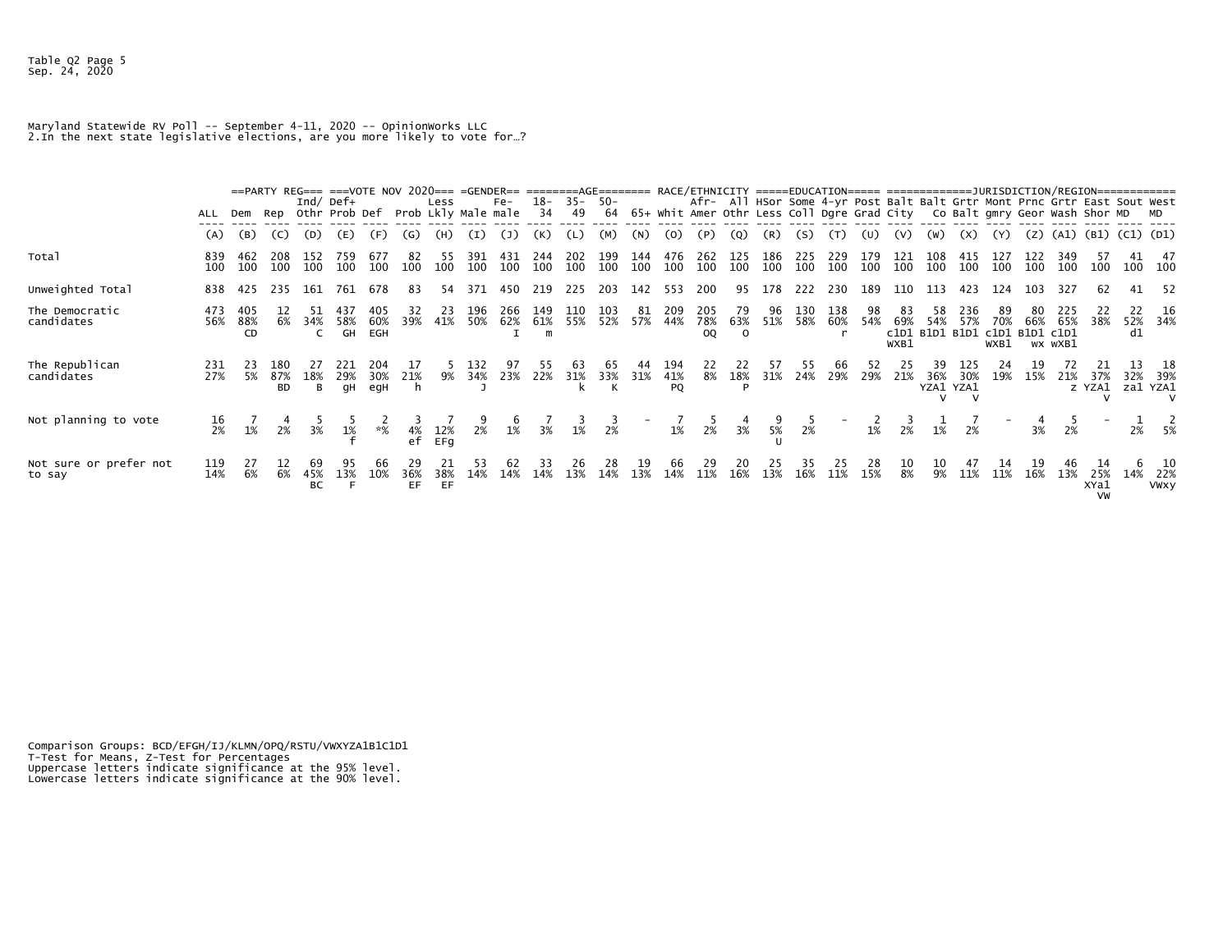## Maryland Statewide RV Poll -- September 4-11, 2020 -- OpinionWorks LLC 2.In the next state legislative elections, are you more likely to vote for…?

|                                  | ALL              |                  |                         | Ind/ Def $+$    | ==PARTY REG=== ===VOTE NOV 2020=== =GENDER== ========AGE======= RACE/ETHNICITY =====EDUCATION===== ===================DURISDICTION/REGION==============<br>Rep Othr Prob Def |                   | Prob Lkly Male male | Less       |                 | $Fe-$      | 18-<br>34       | $35 -$<br>49    | -50<br>64       |            |                  |                  |                       |                 |            |            |                |                   |                                            |            |                   |     |                       | Afr- All HSor Some 4-yr Post Balt Balt Grtr Mont Prnc Grtr East Sout West<br>65+ Whit Amer Othr Less Coll Dgre Grad City    Co Balt gmry Geor Wash Shor MD |     |                            |
|----------------------------------|------------------|------------------|-------------------------|-----------------|------------------------------------------------------------------------------------------------------------------------------------------------------------------------------|-------------------|---------------------|------------|-----------------|------------|-----------------|-----------------|-----------------|------------|------------------|------------------|-----------------------|-----------------|------------|------------|----------------|-------------------|--------------------------------------------|------------|-------------------|-----|-----------------------|------------------------------------------------------------------------------------------------------------------------------------------------------------|-----|----------------------------|
|                                  | (A)              | (B)              | (C)                     | (D)             | (E)                                                                                                                                                                          | (F)               | (G)                 | (H)        | (I)             | (J)        | (K)             |                 | (M)             | (N)        | (0)              | (P)              | (Q)                   | (R)             | (S)        |            | (U)            | (V)               | (W)                                        | (X)        | (Y)               | (Z) |                       | (A1) (B1) (C1) (D1)                                                                                                                                        |     |                            |
| Total                            | 839<br>100       | 462<br>100       | 208<br>100              | 152<br>100      | 759<br>100                                                                                                                                                                   | 677<br>100        | 82<br>100           | 55<br>100  | 391<br>100      | 431<br>100 | 244<br>100      | 202<br>100      | 199<br>100      | 144<br>100 | 476<br>100       | 262<br>100       | 125<br>100            | 186<br>100      | 225<br>100 | 229<br>100 | 179<br>100     | 121<br>100        | 108<br>100                                 | 415<br>100 | 100               | 100 | 100                   | 100                                                                                                                                                        |     | 47<br>100 100              |
| Unweighted Total                 | 838              | 425              | 235                     | 161             | 761                                                                                                                                                                          | 678               | 83                  | 54         | 371             | 450        | 219             | 225             | 203             | 142        | 553              | 200              | 95                    | 178             | 222        | 230        | 189            | 110               | 113                                        | 423        | 124               | 103 | 327                   |                                                                                                                                                            |     | - 52                       |
| The Democratic<br>candidates     | 473<br>56%       | 405<br>88%<br>CD | 6%                      | 34%             | 437<br>58%<br>GH                                                                                                                                                             | 405<br>60%<br>EGH | 32<br>39%           | 23<br>41%  | 196<br>50%      | 266<br>62% | 149<br>61%<br>m | 110<br>55%      | 103<br>52%      | 81<br>57%  | 209<br>44%       | 205<br>78%<br>OQ | 79<br>63%<br>$\Omega$ | 96<br>51%       | 130<br>58% | 138<br>60% | 98<br>54%      | 83<br>69%<br>WXB1 | 58<br>54%<br>c1D1 B1D1 B1D1 c1D1 B1D1 c1D1 | 236<br>57% | 89<br>70%<br>WXB1 | 66% | 225<br>65%<br>wx wXB1 | 38%                                                                                                                                                        | d1  | 16<br>52% 34%              |
| The Republican<br>candidates     | 231<br>27%       | 5%               | 180<br>87%<br><b>BD</b> | 18%<br>B        | 29%<br>qН                                                                                                                                                                    | 204<br>30%<br>egH | 21%<br>h            | 9%         | 132<br>34%      | 23%        | 22%             | 31%             | 33%<br>к        | 31%        | 194<br>41%<br>PQ | 8%               | 22<br>18%             | 57<br>31%       | 24%        | 29%        | 29%            | 21%               | 36%<br>YZA1 YZA1                           | 30%        | 19%               | 15% | 21%                   | 37%<br>z YZA1                                                                                                                                              |     | -18<br>32% 39%<br>za1 YZA1 |
| Not planning to vote             | $\frac{16}{2\%}$ |                  |                         | 3%              | 1%                                                                                                                                                                           | $* \frac{6}{6}$   | 4%<br>ef            | 12%<br>EFa | $\frac{9}{2\%}$ | $1\%$      | 3%              | $\frac{3}{1\%}$ | $\frac{3}{2\%}$ |            | $1\%$            | ر<br>2%          | $\frac{4}{3\%}$       | $\frac{9}{5\%}$ | $2\%$      |            | $1\frac{2}{3}$ | $2\frac{3}{8}$    | $1\overline{2}$                            | 2%         |                   | 3%  | 2%                    |                                                                                                                                                            | 2%  | 5%                         |
| Not sure or prefer not<br>to say | 119<br>14%       | 27<br>6%         | 6%                      | 69<br>45%<br>BC | 95<br>13%                                                                                                                                                                    | 10%               | 36%<br>EF.          | 38%<br>EF  | 53<br>14%       | 62<br>14%  | 33<br>14%       | 26<br>13%       | 28<br>14%       | 13%        | 66<br>14%        | 29<br>11%        | 20<br>16%             | 13%             | 35<br>16%  | 25<br>11%  | 28<br>15%      | 10<br>8%          | 10<br>9%                                   | 11%        | 11%               | 16% | 13%                   | 25%<br>XYa1<br>VW                                                                                                                                          | 14% | 10<br>22%<br><b>VWXY</b>   |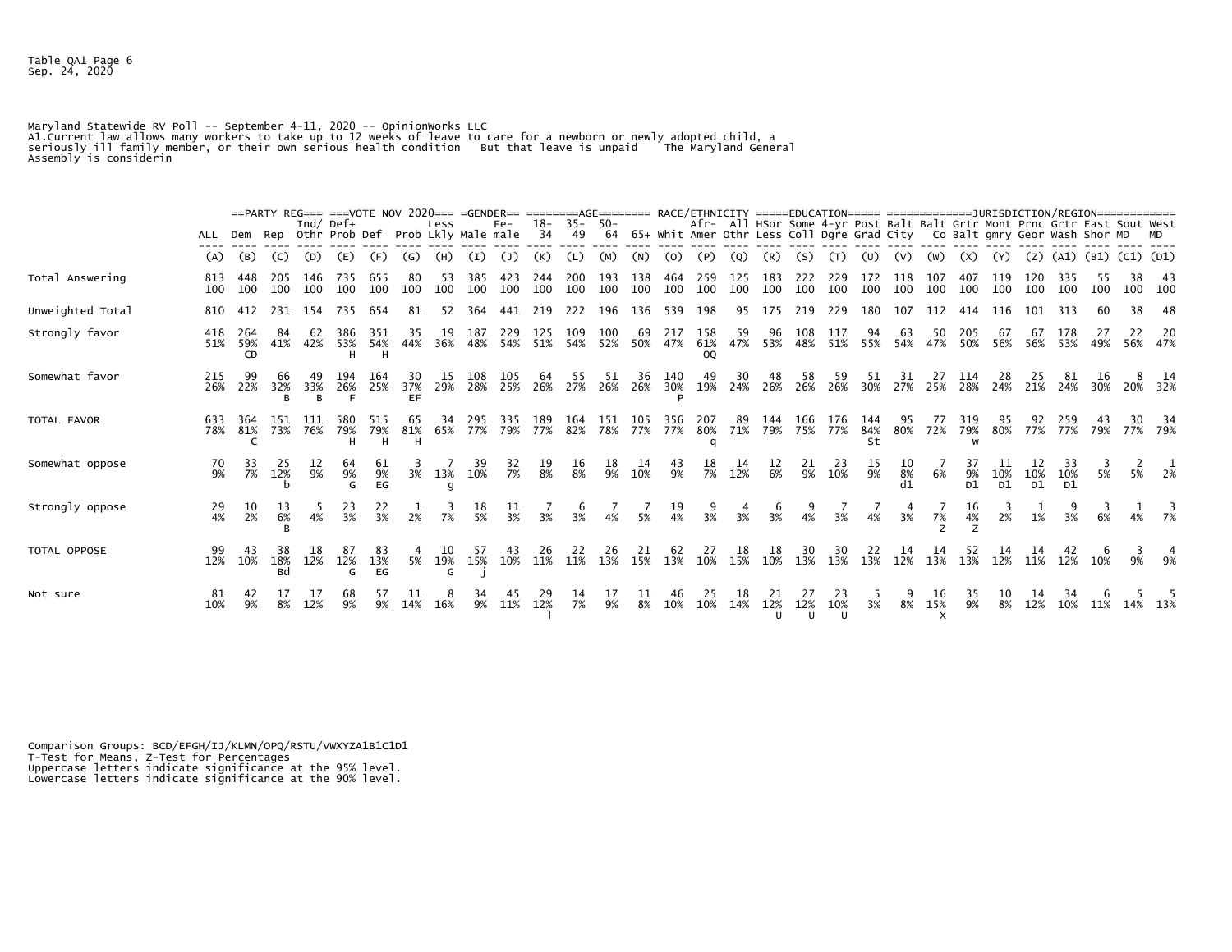Table QA1 Page 6 Sep. 24, 2020

Maryland Statewide RV Poll -- September 4-11, 2020 -- Opinionworks LLC<br>Al.Current law allows many workers to take up to 12 weeks of leave to care for a newborn or newly adopted child, a<br>seriously ill family member, or thei

|                     |            |                         |                  |             | ==PARTY REG=== ===VOTE NOV 2020=== =GENDER== ========AGE======= RACE/ETHNICITY =====EDUCATION===== ==================DURISDICTION/REGION============= |                 |                 |                             |            |            |             |            |                   |            |                 |                  |                                                                                                                                                            |                                           |            |                            |                  |            |                       |            |            |                       |                     |           |    |                |
|---------------------|------------|-------------------------|------------------|-------------|-------------------------------------------------------------------------------------------------------------------------------------------------------|-----------------|-----------------|-----------------------------|------------|------------|-------------|------------|-------------------|------------|-----------------|------------------|------------------------------------------------------------------------------------------------------------------------------------------------------------|-------------------------------------------|------------|----------------------------|------------------|------------|-----------------------|------------|------------|-----------------------|---------------------|-----------|----|----------------|
|                     | ALL        | Dem                     |                  | Ind/ $Def+$ | Rep Othr Prob Def                                                                                                                                     |                 |                 | Less<br>Prob Lkly Male male |            | $Fe-$      | $18-$<br>34 | 49         | $35 - 50 -$<br>64 |            |                 |                  | Afr- All HSor Some 4-yr Post Balt Balt Grtr Mont Prnc Grtr East Sout West<br>65+ Whit Amer Othr Less Coll Dgre Grad City Co Balt gmry Geor Wash Shor MD MD |                                           |            |                            |                  |            |                       |            |            |                       |                     |           |    |                |
|                     | (A)        | (B)                     | (C)              | (D)         | (E)                                                                                                                                                   | (F)             | (G)             | (H)                         | (I)        | (1)        | (K)         | (L)        | (M)               | (N)        | (0)             | (P)              | (Q)                                                                                                                                                        | (R)                                       | (S)        | (T)                        | (U)              | (V)        | (W)                   | (x)        | (Y)        | (Z)                   | (A1) (B1) (C1) (D1) |           |    |                |
| Total Answering     | 813<br>100 | 448<br>100              | 205<br>100       | 146<br>100  | 735<br>100                                                                                                                                            | 655<br>100      | 100             | 53<br>100                   | 385<br>100 | 423<br>100 | 244<br>100  | 200<br>100 | 193<br>100        | 138<br>100 | 464<br>100      | 259<br>100       | 125<br>100                                                                                                                                                 | 183<br>100                                | 222<br>100 | 229<br>100                 | 172<br>100       | 118<br>100 | 107<br>100            | 407<br>100 | 119<br>100 | 120<br>100            | 335<br>100          | 100       | 38 | -43<br>100 100 |
| Unweighted Total    | 810        | 412                     | 231              | 154         | 735                                                                                                                                                   | 654             | 81              | 52                          | 364        | 441        | 219         | 222        | 196               | 136        | 539             | 198              | 95                                                                                                                                                         | 175                                       | 219        | 229                        | 180              | 107        | 112                   | 414        | 116        | 101                   | -313                |           | 38 | -48            |
| Strongly favor      | 418<br>51% | 264<br>59%<br><b>CD</b> | 84<br>41%        | 62<br>42%   | 386<br>53%<br>н                                                                                                                                       | 351<br>54%      | 35<br>44%       | 19<br>36%                   | 187<br>48% | 229<br>54% | 125<br>51%  | 109<br>54% | 100<br>52%        | 69<br>50%  | 217<br>47%      | 158<br>61%<br>00 | 59<br>47%                                                                                                                                                  | 96                                        | 108        | 117<br>53% 48% 51% 55% 54% | 94               | 63         | 50<br>47%             | 205<br>50% | 67<br>56%  | 67<br>56%             | 53%                 | 49%       |    | 20<br>56% 47%  |
| Somewhat favor      | 215<br>26% | 99<br>22%               | 66<br>32%<br>B   | 49<br>33%   | 194<br>26%                                                                                                                                            | 164<br>25%      | 30<br>37%<br>EF | 15<br>29%                   | 108<br>28% | 105<br>25% | 64<br>26%   | 27%        | 26%               | 36<br>26%  | 140<br>30%<br>D | 49<br>19%        | 30<br>24%                                                                                                                                                  | 48<br>26%                                 | 58<br>26%  | 59<br>26%                  | 30%              | 27%        | 25%                   | 114<br>28% | 28<br>24%  | 25<br>21%             | 24%                 | 16<br>30% |    | 14<br>20% 32%  |
| TOTAL FAVOR         | 633<br>78% | 364<br>81%              | 151<br>73%       | 111<br>76%  | 580<br>79%<br>н                                                                                                                                       | 515<br>79%      | 65<br>81%<br>н  | 34<br>65%                   | 295<br>77% | 335<br>79% | 189<br>77%  | 164<br>82% | 151<br>78%        | 105<br>77% | 356<br>77%      | 207<br>80%<br>a  | 89<br>71%                                                                                                                                                  | 144<br>79%                                | 166<br>75% | 176<br>77%                 | 144<br>84%<br>St | 95<br>80%  | $\prime\prime$<br>72% | 319<br>79% | 95<br>80%  | 77%                   | 259<br>77%          | 43<br>79% |    | -34<br>77% 79% |
| Somewhat oppose     | 70<br>9%   | 33<br>7%                | 25<br>12%        | ΤZ<br>9%    | 64<br>9%<br>G                                                                                                                                         | 9%<br>EG        | 3%              | 13%<br>g                    | 10%        | 32<br>7%   | 8%          | Ţр<br>8%   | 18<br>9%          | 10%        | 43<br>9%        | 18<br>7%         | 14<br>12%                                                                                                                                                  | $\frac{12}{6\%}$                          | 21<br>9%   | -23<br>10%                 | ŦР<br>9%         | 10<br>8%   | 6%                    | 9%<br>D1   | 10%<br>D1  | 10%<br>D <sub>1</sub> | 10%<br>D1           | 5%        | 5% | 2%             |
| Strongly oppose     | 29<br>4%   | 10<br>2%                | 6%               | 4%          | 23<br>3%                                                                                                                                              | 22<br>3%        | 2%              | 7%                          | 18<br>5%   | 3%         | 3%          | 3%         | 4%                | 5%         | 19<br>4%        | 3%               | 3%                                                                                                                                                         | 3%                                        | 4%         | 3%                         | 4%               | 3%         | 7%                    | 16<br>4%   | 2%         | 1%                    | 3%                  | 6%        |    | 4% 7%          |
| <b>TOTAL OPPOSE</b> | 99<br>12%  | 43<br>10%               | 18%<br><b>Bd</b> | 18<br>12%   | 87<br>12%<br>G                                                                                                                                        | 83<br>13%<br>EG | 5%              | 10<br>19%<br>G              | 57<br>15%  | 43<br>10%  | 26<br>11%   | 22<br>11%  | 26<br>13%         | -21<br>15% | 62<br>13%       | 27<br>10%        | 18<br>15%                                                                                                                                                  | $\begin{array}{c} 18 \\ 10\% \end{array}$ | 30<br>13%  | 30<br>13%                  | 22<br>13%        | 14<br>12%  | 14<br>13%             | 52<br>13%  | 14<br>12%  | 14<br>11%             | 42<br>12%           | 10%       | 9% | 9%             |
| Not sure            | 81<br>10%  | 9%                      | 8%               | 12%         | 68                                                                                                                                                    |                 | 14%             | 8<br>16%                    | 34<br>9%   | 45<br>11%  | 12%         | 7%         | 9%                | 8%         | 10%             | 25<br>10%        | 18<br>14%                                                                                                                                                  | 12%                                       | 12%<br>U   | 23<br>10%<br>U             | 3%               | 8%         | 16<br>15%<br>$\times$ | -35<br>9%  | 10<br>8%   | 14<br>12%             | 34<br>10%           | 11%       |    |                |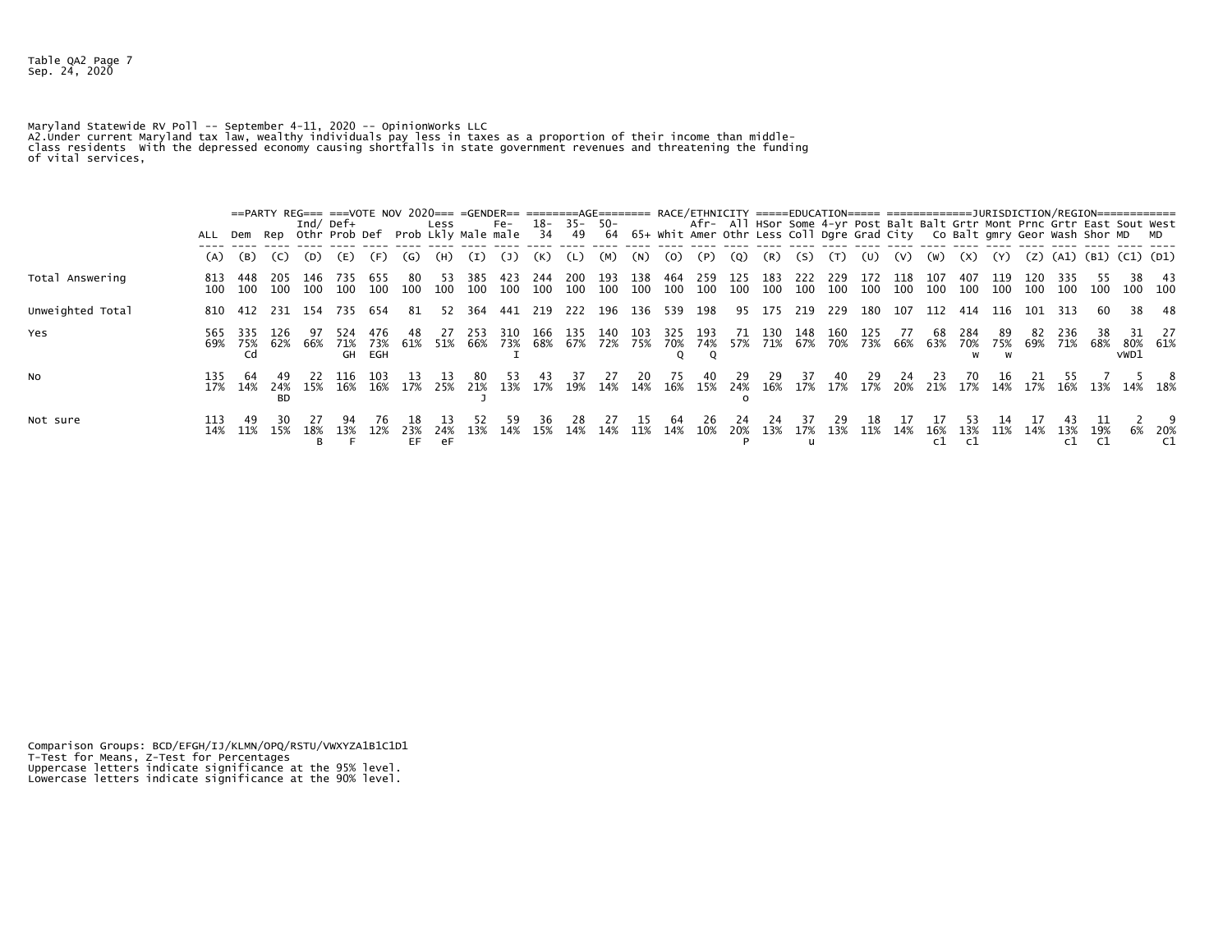Table QA2 Page 7 Sep. 24, 2020

Maryland Statewide RV Poll -- September 4-11, 2020 -- OpinionWorks LLC<br>A2.Under current Maryland tax law, wealthy individuals pay less in taxes as a proportion of their income than middle-<br>class residents with the depress

|                  |            |                  |                  |              |             |            |            |           |            | ==PARTY REG=== ===VOTE NOV 2020=== =GENDER== ========AGE======= RACE/ETHNICITY =====EDUCATION===== ===================DURISDICTION/REGION============= |            |            |            |            |            |            |                   |             |            |            |            |            |            |            |            |     |            |                                                                                                                                                                  |                  |               |
|------------------|------------|------------------|------------------|--------------|-------------|------------|------------|-----------|------------|--------------------------------------------------------------------------------------------------------------------------------------------------------|------------|------------|------------|------------|------------|------------|-------------------|-------------|------------|------------|------------|------------|------------|------------|------------|-----|------------|------------------------------------------------------------------------------------------------------------------------------------------------------------------|------------------|---------------|
|                  | ALL        | Dem Rep          |                  | Ind/ Def $+$ |             |            |            | Less      |            | Fe-<br>Othr Prob Def Prob Lkly Male male 34                                                                                                            | 18-        | 35- 50-    |            |            |            |            |                   |             |            |            |            |            |            |            |            |     |            | Afr- All HSor Some 4-yr Post Balt Balt Grtr Mont Prnc Grtr East Sout West<br>49 64 65+ Whit Amer Othr Less Coll Dgre Grad City Co Balt gmry Geor Wash Shor MD MD |                  |               |
|                  | (A)        | (B)              | (C)              | (D)          | (E)         | (F)        | (G)        | (H)       | (I)        | (1)                                                                                                                                                    | (K)        |            | (M)        | (N)        | (0)        | (P)        | $\left( Q\right)$ | (R)         | (S)        | (T)        | (U)        | (V)        | (W)        | (X)        | (Y)        | (Z) |            | (A1) (B1) (C1) (D1)                                                                                                                                              |                  |               |
| Total Answering  | 813<br>100 | 448<br>100       | 205<br>100       | 146<br>100   | /35<br>100  | 655<br>100 | 80<br>100  | 53<br>100 | 385<br>100 | 423<br>100                                                                                                                                             | 244<br>100 | 200<br>100 | 193<br>100 | 138<br>100 | 464<br>100 | 259<br>100 | 125<br>100        | 183<br>100  | 222<br>100 | 229<br>100 | 172<br>100 | 118<br>100 | 107<br>100 | 407<br>100 | 119<br>100 | 100 | 100        | 100                                                                                                                                                              | 38<br>100        | -43<br>- 100  |
| Unweighted Total | 810        |                  |                  | 412 231 154  | 735         | 654        | -81        | 52        | -364       | 441                                                                                                                                                    | 219        | 222        | 196        | 136        | 539        | 198        | 95                | 175         | 219        | 229        | 180        | 107        | 112        | 414        | 116        | 101 | -313       | 60                                                                                                                                                               | 38               | -48           |
| Yes              | 565<br>69% | 335<br>75%<br>Cd | 126<br>62%       | 66%          | 71%<br>GH   | 73%<br>EGH | 48<br>61%  | 51%       | 253<br>66% | 310<br>73%                                                                                                                                             | 166<br>68% | 135<br>67% | 140<br>72% | 103<br>75% | 325<br>70% | 193<br>74% | -71<br>57%        | -130<br>71% | 148<br>67% | 160<br>70% | 125<br>73% | 77<br>66%  | 68<br>63%  | 284<br>70% | 89<br>75%  | 69% | 236<br>71% | 68%                                                                                                                                                              | vw <sub>D1</sub> | 27<br>80% 61% |
| NO.              | 135<br>17% | 64<br>14%        | 24%<br><b>BD</b> | 15%          | 116.<br>16% | 103<br>16% | 17%        | 25%       | 80<br>21%  | 13%                                                                                                                                                    | 17%        | 19%        | 14%        | 20<br>14%  | 75<br>16%  | 40<br>15%  | 29<br>24%         | 29<br>16%   | 37<br>17%  | 40<br>17%  | 29.<br>17% | 24<br>20%  | 21%        | 17%        | Ιh.<br>14% | 17% | 16%        | 13%                                                                                                                                                              |                  | 14% 18%       |
| Not sure         | 113<br>14% | 11%              | 15%              | 18%          | 13%         | 12%        | 23%<br>EF. | 24%<br>eF | 13%        | 14%                                                                                                                                                    | 36.<br>15% | 14%        | 14%        | 11%        | 64<br>14%  | 26<br>10%  | 20%               | 24<br>13%   | 17%        | 13%        | 11%        | 14%        | 16%<br>c1  | 13%        | 11%        | 14% | 13%        | 19%                                                                                                                                                              | 6%               | -20%          |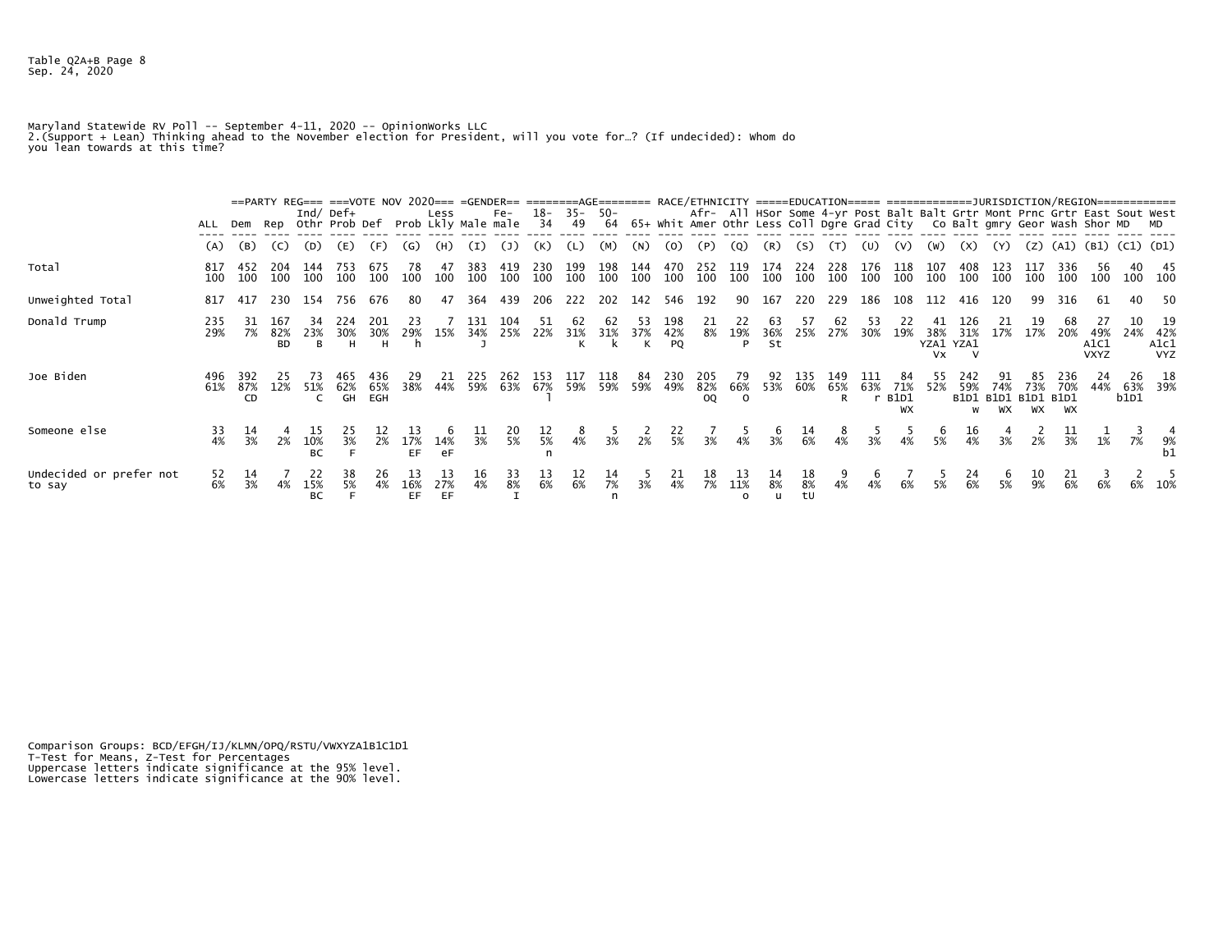Maryland Statewide RV Poll -- September 4-11, 2020 -- OpinionWorks LLC<br>2.(Support + Lean) Thinking ahead to the November election for President, will you vote for…? (If undecided): Whom do<br>you lean towards at this time?

|                                   |            |                  |                         |                        | ==PARTY REG=== ===VOTE NOV 2020=== =GENDER== ========AGE======= RACE/ETHNICITY =====EDUCATION===== ===================DURISDICTION/REGION============== |                 |            |                 |                  |            |                   |            |                   |            |                  |                         |                       |                  |                        |            |                                                                                                                                                                |                   |                               |                                          |                                  |            |                  |                            |                |                                     |
|-----------------------------------|------------|------------------|-------------------------|------------------------|---------------------------------------------------------------------------------------------------------------------------------------------------------|-----------------|------------|-----------------|------------------|------------|-------------------|------------|-------------------|------------|------------------|-------------------------|-----------------------|------------------|------------------------|------------|----------------------------------------------------------------------------------------------------------------------------------------------------------------|-------------------|-------------------------------|------------------------------------------|----------------------------------|------------|------------------|----------------------------|----------------|-------------------------------------|
|                                   | ALL        |                  |                         |                        | Ind/ Def $+$<br>Dem Rep Othr Prob Def Prob Lkly Male male                                                                                               |                 |            | Less            |                  | Fe-        | 18-<br>34         | 49         | $35 - 50 -$<br>64 |            |                  |                         |                       |                  |                        |            | Afr- All HSor Some 4-yr Post Balt Balt Grtr Mont Prnc Grtr East Sout West<br>65+ Whit Amer Othr Less Coll Dgre Grad City        Co Balt gmry Geor Wash Shor MD |                   |                               |                                          |                                  |            |                  |                            |                | <b>MD</b>                           |
|                                   | (A)        | (B)              | (C)                     | (D)                    | (E)                                                                                                                                                     | (F)             | (G)        | (H)             | (I)              | (1)        | (K)               |            | (M)               | (N)        | (O)              | 〔P〕                     | (Q)                   | (R)              | (S)                    |            | (U)                                                                                                                                                            | (V)               | W)                            | EX)                                      |                                  | (Z)        | (A1)             |                            | (B1) (C1) (D1) |                                     |
| Total                             | 817<br>100 | 452<br>100       | 204<br>100              | 144<br>100             | 753<br>100                                                                                                                                              | 675<br>100      | 78<br>100  | 47<br>100       | 383<br>100       | 419<br>100 | 230<br>100        | 199<br>100 | 198<br>100        | 144<br>100 | 470<br>100       | 252<br>100              | 119<br>100            | 174<br>100       | 224<br>100             | 228<br>100 | 176<br>100                                                                                                                                                     | 118<br>100        | 107<br>100                    | 408<br>100                               | 123<br>100                       | 117<br>100 | 336<br>100       | 56<br>100                  |                | -45<br>100 100                      |
| Unweighted Total                  | 817        | 417              |                         | 230 154                | 756                                                                                                                                                     | 676             | -80        | 47              | 364              | 439        | 206               | 222        | 202               | 142        | 546              | 192                     |                       | 90 167           | 220                    | 229        | 186                                                                                                                                                            | 108               |                               | 112 416                                  | 120                              | 99         | 316              | 61                         | 40             | -50                                 |
| Donald Trump                      | 235<br>29% |                  | 167<br>82%<br><b>BD</b> | 23%<br>B               | 224<br>30%<br>н                                                                                                                                         | 201<br>30%<br>H | 29%        | 15%             | 131<br>34%       | 104<br>25% | $\frac{51}{22\%}$ | 31%        | 31%               | 53<br>37%  | 198<br>42%<br>PQ | $\frac{21}{8\%}$        | 22<br>19%<br>P        | 63<br>36%<br>St  | 57<br>25%              | 62<br>27%  | 53<br>30%                                                                                                                                                      | 19%               | 38%<br>YZA1 YZA1<br><b>Vx</b> | 126<br>31%                               | 21<br>17%                        | 17%        | 20%              | 49%<br>A1C1<br><b>VXYZ</b> |                | 19<br>24% 42%<br>A1c1<br><b>VYZ</b> |
| Joe Biden                         | 496<br>61% | 392<br>87%<br>CD |                         | 12% 51%                | 62%<br>GH                                                                                                                                               | 65%<br>EGH      | 29<br>38%  | 44%             | 225<br>59%       | 262<br>63% | 153               | 67% 59%    | 118<br>59%        | 84<br>59%  | 230<br>49%       | 205<br>82%<br><b>OQ</b> | 79<br>66%<br>$\Omega$ | 53%              | 135<br>60%             | 149<br>65% | 63%                                                                                                                                                            | 71%<br>B1D1<br>WX | 52%                           | 242<br>59%<br>W                          | 74%<br>B1D1 B1D1 B1D1 B1D1<br>WX | 73%<br>WX  | 70%<br><b>WX</b> | 24<br>44%                  | 26<br>b1D1     | 18<br>63% 39%                       |
| Someone else                      | 33<br>4%   | 3%               | 2%                      | 10%<br>BC              | 3%                                                                                                                                                      | 2%              | 17%<br>EF. | 14%<br>eF       | 3%               | 5%         | 5%                | 4%         | 3%                | 2%         | 5%               | 3%                      |                       | 3%               | 6%                     |            | 3%                                                                                                                                                             |                   | 5%                            |                                          | 3%                               | 2%         | 3%               | 1%                         | 7%             | 9%                                  |
| Undecided or prefer not<br>to say | 52<br>6%   | 14<br>3%         | 4%                      | 22<br>15%<br><b>BC</b> | 38<br>5%                                                                                                                                                | 26<br>4%        | 16%<br>EF. | 13<br>27%<br>EF | $\frac{16}{4\%}$ | 33<br>8%   | 13<br>6%          | 6%         | 14<br>7%          | 3%         | 21<br>4%         | 18<br>7%                | 13<br>11%             | $\frac{14}{8\%}$ | $\frac{18}{8\%}$<br>tU | 4%         | $\frac{6}{4\%}$                                                                                                                                                | 6%                | $\frac{5}{5\%}$               | $\begin{array}{c} 24 \\ 6\% \end{array}$ | 5%                               | 10<br>9%   | 21<br>6%         | 6%                         |                | 6% 10%                              |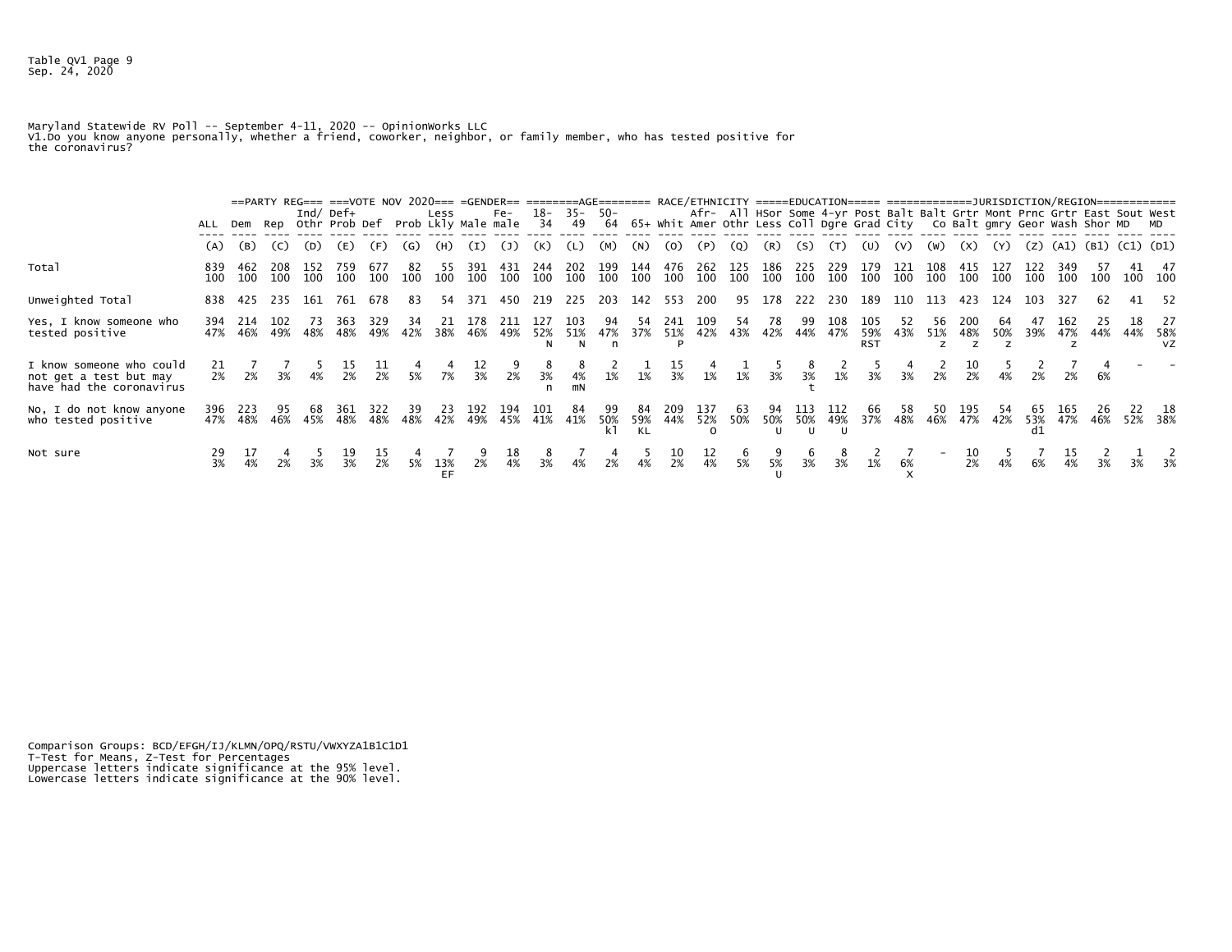Maryland Statewide RV Poll -- September 4-11, 2020 -- OpinionWorks LLC<br>V1.Do you know anyone personally, whether a friend, coworker, neighbor, or family member, who has tested positive for<br>the coronavirus?

|                                                                                |                  |             |            |            | ==PARTY REG=== ===VOTE NOV 2020=== =GENDER== ========AGE======= RACE/ETHNICITY =====EDUCATION===== ==================DURISDICTION/REGION==============<br>Ind/ Def $+$<br>ALL Dem Rep Othr Prob Def Prob Lkly Male male |                  |           | Less      |                  | $Fe-$            | 18-<br>34      | 49          | $35 - 50 -$     |                 |                  |                        |                 |                 |                 |             |                          | Afr- All HSor Some 4-yr Post Balt Balt Grtr Mont Prnc Grtr East Sout West<br>64 65+ Whit Amer Othr Less Coll Dgre Grad City Co Balt gmry Geor Wash Shor MD MD |            |                 |     |     |                |                                   |     |                        |
|--------------------------------------------------------------------------------|------------------|-------------|------------|------------|-------------------------------------------------------------------------------------------------------------------------------------------------------------------------------------------------------------------------|------------------|-----------|-----------|------------------|------------------|----------------|-------------|-----------------|-----------------|------------------|------------------------|-----------------|-----------------|-----------------|-------------|--------------------------|---------------------------------------------------------------------------------------------------------------------------------------------------------------|------------|-----------------|-----|-----|----------------|-----------------------------------|-----|------------------------|
|                                                                                | (A)              | (B)         | (C)        | (D)        | (E)                                                                                                                                                                                                                     | (F)              | (G)       | (H)       | (I)              | (1)              | (K)            | (L)         | (M)             | (N)             | (0)              | (P)                    | (Q)             | (R)             | (S)             | (T)         | (U)                      | (V)                                                                                                                                                           | (W)        | (X)             | (Y) |     |                | $(2)$ $(A1)$ $(B1)$ $(C1)$ $(D1)$ |     |                        |
| Total                                                                          | 839<br>100       | 462<br>100  | 208<br>100 | 152<br>100 | 759<br>100                                                                                                                                                                                                              | 677<br>100       | 82<br>100 | 100       | 391<br>100       | 100              | 244<br>100     | -202<br>100 | 199<br>100      | 144<br>100      | 476<br>100       | 262<br>100             | 125<br>100      | 186<br>100      | 225<br>100      | -229<br>100 | 179<br>100               | 121<br>100                                                                                                                                                    | 108<br>100 | 100             | 100 | 100 | 100            | 100                               |     | 47<br>100 100          |
| Unweighted Total                                                               |                  | 838 425     |            |            | 235 161 761 678                                                                                                                                                                                                         |                  | 83        | 54        |                  | 371 450 219 225  |                |             | 203 142 553     |                 |                  | 200                    |                 |                 |                 |             |                          | 95 178 222 230 189 110                                                                                                                                        | 113 423    |                 | 124 | 103 | 327            | 62                                |     | 41 52                  |
| Yes, I know someone who<br>tested positive                                     | 394<br>47%       | -214<br>46% | 102<br>49% | 48%        | -363<br>48%                                                                                                                                                                                                             | 329<br>49%       | 42%       | 38%       | 46%              | 211<br>49%       | 52%            | 51%<br>N.   | 94<br>47%<br>n  | 37%             | -241<br>51%      | 109<br>42%             | 54<br>43%       | 78<br>42%       | 99<br>44%       | 108<br>47%  | 105<br>59%<br><b>RST</b> | 43%                                                                                                                                                           | 56<br>51%  | 200<br>48%      | 50% | 39% | 47%            | 44%                               | 44% | 27<br>58%<br><b>VZ</b> |
| I know someone who could<br>not get a test but may<br>have had the coronavirus | 21               |             |            |            | $\frac{15}{2\%}$                                                                                                                                                                                                        | $\frac{11}{2\%}$ | $5\%$     | 7%        | $\frac{12}{3\%}$ | $\frac{9}{2\%}$  | 3%             | 4%<br>mN    | 1%              | $1\%$           | $\frac{15}{3\%}$ | 1%                     | 1%              | 3%              | 3%              | 1%          | 3%                       | 3%                                                                                                                                                            | 2%         | 2%              |     |     |                |                                   |     |                        |
| No, I do not know anyone<br>who tested positive                                | 396<br>47%       | -223<br>48% | 95<br>46%  | 68<br>45%  | 361<br>48%                                                                                                                                                                                                              | 322<br>48%       | 39<br>48% | 23<br>42% | 192<br>49%       | 194<br>45%       | 101<br>41% 41% | 84          | 99<br>50%<br>k1 | 84<br>59%<br>KL | 209<br>44%       | 137<br>52%<br>$\Omega$ | 63<br>50%       |                 | 50% 50%<br>U    | 49%         | 66<br>37%                | 58<br>48%                                                                                                                                                     | 50<br>46%  | 195<br>47%      | 42% | d1  | 165<br>53% 47% | 46%                               |     | 18<br>52% 38%          |
| Not sure                                                                       | $\frac{29}{3\%}$ | 4%          | 2%         | 3%         | $\frac{19}{3\%}$                                                                                                                                                                                                        | $\frac{15}{2%}$  | 5%        | 13%<br>EF | $2\%$            | $\frac{18}{4\%}$ | 3%             | 4%          | $\frac{4}{2\%}$ | 4%              | $\frac{10}{2%}$  | $\frac{12}{4\%}$       | $\frac{6}{5\%}$ | $\frac{9}{5\%}$ | $\frac{6}{3\%}$ | 3%          | 1%                       | 6%                                                                                                                                                            |            | $\frac{10}{2%}$ | 4%  | 6%  | 4%             |                                   |     |                        |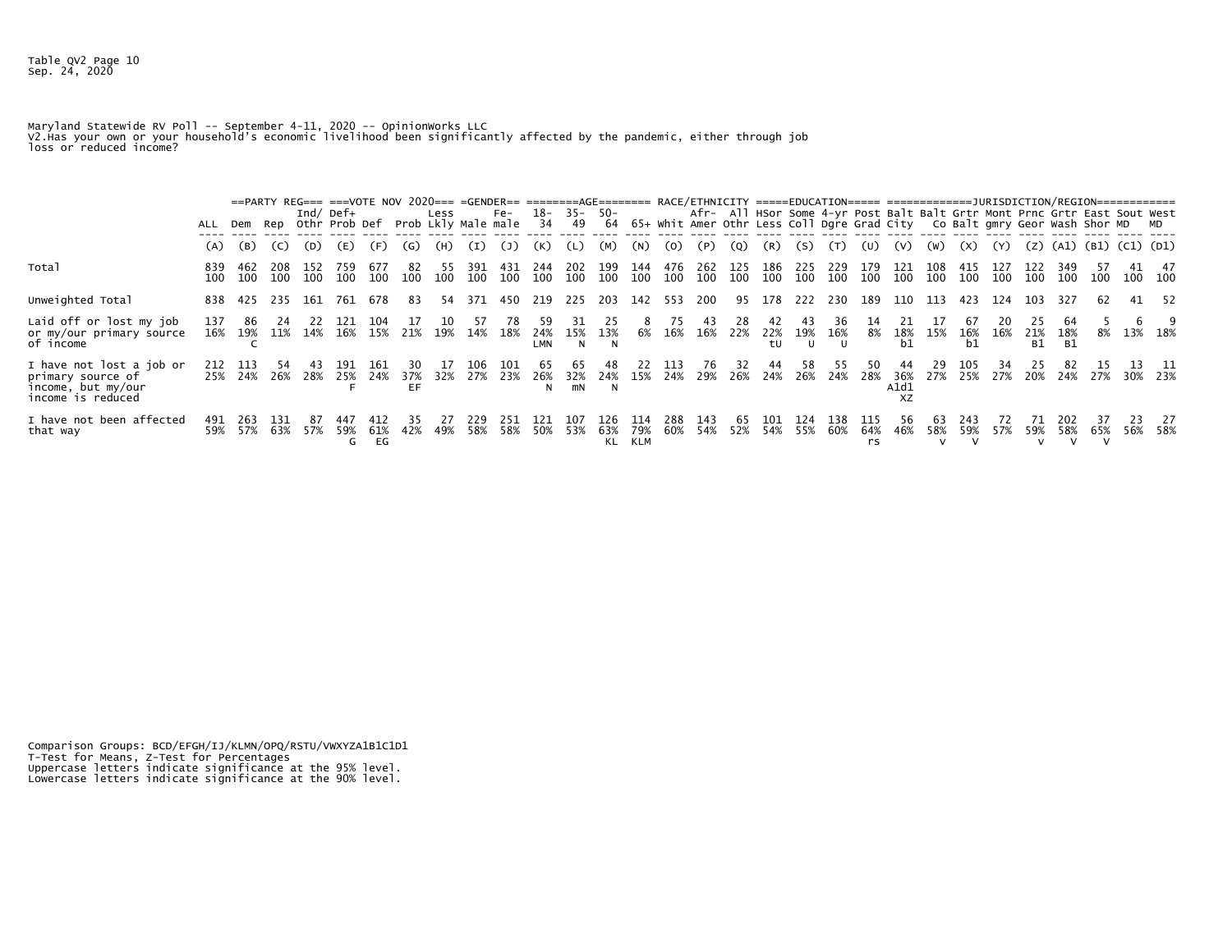Maryland Statewide RV Poll -- September 4-11, 2020 -- OpinionWorks LLC V2.Has your own or your household's economic livelihood been significantly affected by the pandemic, either through job loss or reduced income?

|                                                                                          | ALL        |                 |            |            | Ind/ Def $+$ |             |           | Less       |             | Fe-<br>Dem Rep Othr Prob Def Prob Lkly Male male 34 49 64 65+ whit Amer Othr Less Coll Dgre Grad City Co Balt gmry Geor Wash Shor MD MD |                   | 18- 35- 50- |            |            |            |            |            |            |            |            |            | Afr- All HSor Some 4-yr Post Balt Balt Grtr Mont Prnc Grtr East Sout West |            |                 |            |                  |                           |         |     |                  |
|------------------------------------------------------------------------------------------|------------|-----------------|------------|------------|--------------|-------------|-----------|------------|-------------|-----------------------------------------------------------------------------------------------------------------------------------------|-------------------|-------------|------------|------------|------------|------------|------------|------------|------------|------------|------------|---------------------------------------------------------------------------|------------|-----------------|------------|------------------|---------------------------|---------|-----|------------------|
|                                                                                          | (A)        | (B)             | (C)        | (D)        | (E)          | (F)         | (G)       | (H)        | (I)         | (1)                                                                                                                                     | (K)               |             | (M)        | (N)        | (0)        | (P)        | (Q)        | (R)        | (S)        | (T)        | (U)        | (V)                                                                       | (W)        | (X)             | (Y)        |                  | $(Z)$ (A1) (B1) (C1) (D1) |         |     |                  |
| Total                                                                                    | 839<br>100 | 462<br>100      | 208<br>100 | 152<br>100 | 759<br>100   | 677<br>100  | 82<br>100 | -55<br>100 | -391<br>100 | 431<br>100                                                                                                                              | 244<br>100        | 202<br>100  | 199<br>100 | 144<br>100 | 476<br>100 | 262<br>100 | 125<br>100 | 186<br>100 | 225<br>100 | 229<br>100 | 179<br>100 | 121<br>100                                                                | 108<br>100 | -415<br>100     | 127<br>100 | 100              | 349<br>100                | 100     |     | 41 47<br>100 100 |
| Unweighted Total                                                                         | 838        | -425            | 235        | 161        | 761          | 678         | 83        | 54         | 371         | 450 219                                                                                                                                 |                   | 225         | 203        | 142        | 553        | 200        | 95         | 178        |            | 222 230    | 189        | 110                                                                       | 113        | 423             | 124        | 103              | 327                       | 62      |     | 41 52            |
| Laid off or lost my job<br>or my/our primary source<br>of income                         | 137<br>16% | 86<br>19%       | 11%        | -22<br>14% | -121<br>16%  | -104<br>15% | 21%       | 10<br>19%  | 14%         | 18%                                                                                                                                     | 24%<br><b>LMN</b> | 15%<br>N    | 13%<br>N   | 6%         | 16%        | 43<br>16%  | 28<br>-22% | 22%<br>tu  | 19%        | 36<br>16%  | 8%         | 18%<br>b1                                                                 | 15%        | 67<br>16%<br>b1 | 16%        | 21%<br><b>B1</b> | 18%<br>- B1               | 8%      |     | 13% 18%          |
| I have not lost a job or<br>primary source of<br>income, but my/our<br>income is reduced | 212        | -113<br>25% 24% | 26%        | 28%        | 25% 24%      | 161         | 37%<br>EF | 32%        | 106<br>27%  | 101<br>23%                                                                                                                              | 26%<br>N          | 32%<br>mN   | 24%<br>N   | 15%        | 24%        | 76<br>29%  | 26%        | 24%        | 58.<br>26% | 24%        | 28%        | 36%<br>A1d1<br>ΧZ                                                         | 29<br>27%  | 105<br>25%      | 27%        | 20%              |                           | 24% 27% | 13. | -11<br>30% 23%   |
| I have not been affected<br>that way                                                     | 491<br>59% | 263<br>57%      | 131<br>63% | 57%        | 59%<br>G     | 61%<br>EG   | 42%       | 49%        | 229<br>58%  | 251<br>58%                                                                                                                              | 121<br>50%        | 107<br>53%  | 63%<br>KL  | 79%<br>KLM | 288<br>60% | 143<br>54% | 65<br>52%  | 54%        | 55%        | 138<br>60% | 64%<br>rs  | 46%                                                                       | 63<br>58%  | 243<br>59%      | 57%        | 59%              | 58%                       | 65%     | 56% | 27<br>- 58%      |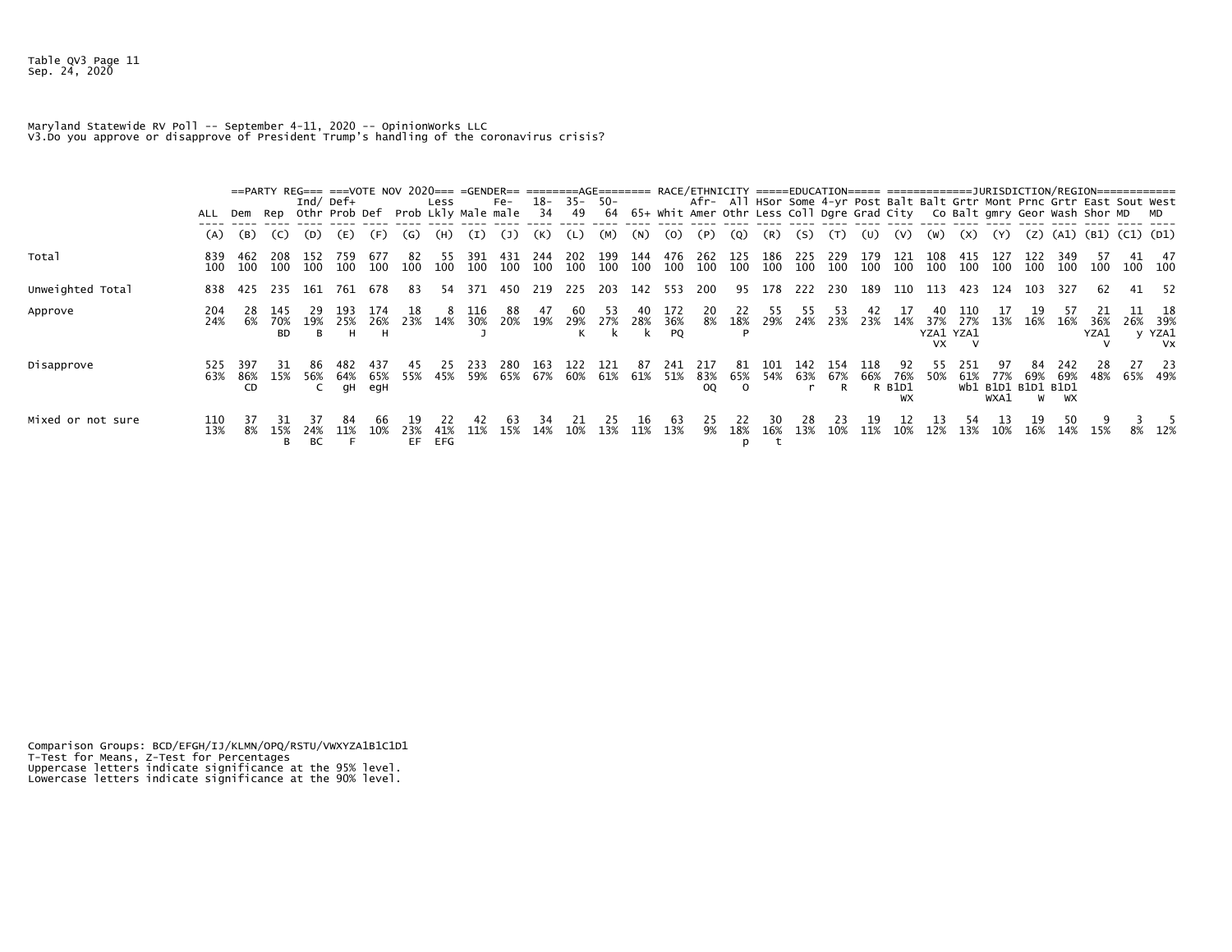Maryland Statewide RV Poll -- September 4-11, 2020 -- OpinionWorks LLC V3.Do you approve or disapprove of President Trump's handling of the coronavirus crisis?

|                   | ALL        |                  |                         |                       | Ind/ Def $+$    |                   |            | Less       |            | Fe-<br>Dem Rep Othr Prob Def Prob Lkly Male male | 18-<br>34  | 49         | $35 - 50 -$ |            |                  |                          |                        |             |            |                     |            |                           |                                     |            | Afr- All HSor Some 4-yr Post Balt Balt Grtr Mont Prnc Grtr East Sout West<br>64 65+ Whit Amer Othr Less Coll Dgre Grad City Co Balt gmry Geor Wash Shor MD MD |     |                  |                     |     |                                                  |
|-------------------|------------|------------------|-------------------------|-----------------------|-----------------|-------------------|------------|------------|------------|--------------------------------------------------|------------|------------|-------------|------------|------------------|--------------------------|------------------------|-------------|------------|---------------------|------------|---------------------------|-------------------------------------|------------|---------------------------------------------------------------------------------------------------------------------------------------------------------------|-----|------------------|---------------------|-----|--------------------------------------------------|
|                   | (A)        | (B)              | (C)                     | (D)                   | (E)             | (F)               | (G)        | (H)        | (I)        | (J)                                              | (K)        |            | (M)         | (N)        | (0)              | (P)                      | (Q)                    | (R)         | (S)        | (T)                 | (U)        | (V)                       | (W)                                 | (X)        | (Y)                                                                                                                                                           | (Z) |                  | (A1) (B1) (C1) (D1) |     |                                                  |
| Total             | 839<br>100 | 462<br>100       | 208<br>100              | -152<br>100           | 759<br>100      | 677<br>100        | 82<br>100  | 55<br>100  | 391<br>100 | 43.<br>100                                       | 244<br>100 | 202<br>100 | 199<br>100  | 144<br>100 | 476<br>100       | 262<br>100               | 125<br>100             | 186<br>100  | 225<br>100 | 229<br>100          | 179<br>100 | 121<br>100                | 108<br>100                          | 415<br>100 | 127<br>100                                                                                                                                                    | 100 | 349<br>100       | 100                 | 100 | 47<br>- 100                                      |
| Unweighted Total  | 838        | 425              | 235                     | - 161                 | 761             | 678               | 83         | 54         | 371        | 450                                              | 219        | 225        | 203         | 142        | 553              | 200                      | 95                     | 178         | 222        | 230                 | 189        | 110                       | 113                                 | 423        | 124                                                                                                                                                           | 103 | 327              | 62                  | 41  | - 52                                             |
| Approve           | 204<br>24% | 28<br>6%         | 145<br>70%<br><b>BD</b> | 29<br>19%<br><b>B</b> | 193<br>25%<br>н | 174<br>26%<br>н   | 18<br>23%  | 14%        | 116<br>30% | 88<br>20%                                        | 47<br>19%  | -60<br>29% | 53<br>27%   | 28%        | 172<br>36%<br>PQ | 20<br>8%                 | 22<br>18%              | 55<br>29%   | 55<br>24%  | 53<br>23%           | 42<br>23%  | 14%                       | 40<br>37%<br>YZA1 YZA1<br><b>VX</b> | 110<br>27% | 17<br>13%                                                                                                                                                     | 16% | 16%              | 36%<br>YZA1         |     | -18<br>26% 39%<br>y YZA1<br><b>V<sub>X</sub></b> |
| Disapprove        | 525<br>63% | 397<br>86%<br>CD | -31<br>15%              | 56%                   | 64%<br>qΗ       | 437<br>65%<br>egH | 45<br>55%  | 25<br>45%  | 233<br>59% | 280<br>65%                                       | 163<br>67% | 122<br>60% | 121<br>61%  | 87<br>61%  | 241<br>51%       | -217<br>83%<br><b>OQ</b> | -81<br>65%<br>$\Omega$ | -101<br>54% | 142        | 154<br>63% 67%<br>R | 118<br>66% | 92<br>76%<br>R B1D1<br>WX | 55.<br>50%                          | 251<br>61% | 77%<br>Wb1 B1D1 B1D1 B1D1<br>WXA1                                                                                                                             | 69% | 242<br>69%<br>WX | 28<br>48%           | 27  | - 23<br>65% 49%                                  |
| Mixed or not sure | 110<br>13% | 8%               | 15%<br>в                | 24%<br>ВC             |                 |                   | 23%<br>EF. | 41%<br>EFG | 11%        | 15%                                              | 14%        | 10%        | 13%         | 11%        | 63<br>13%        | 9%                       | 18%<br>p               | 16%         | 13%        | 10%                 | 11%        | 10%                       | 12%                                 | 13%        | 10%                                                                                                                                                           | 16% | 14%              | 15%                 |     | 8% 12%                                           |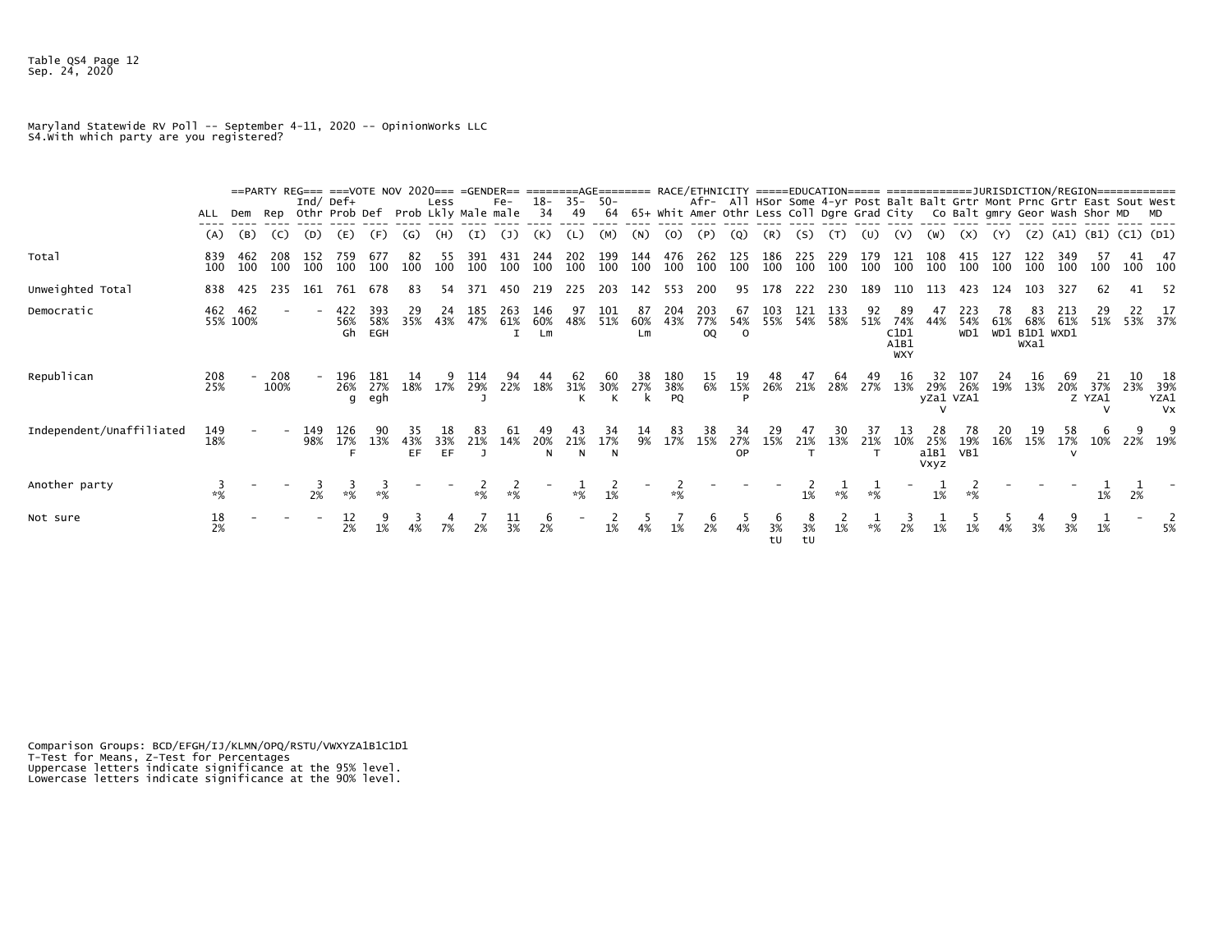Table QS4 Page 12 Sep. 24, 2020

Maryland Statewide RV Poll -- September 4-11, 2020 -- OpinionWorks LLC S4.With which party are you registered?

|                          |                 |                 |             |                |                  |                   |                                       |           |               | ==PARTY REG=== ===VOTE NOV 2020=== =GENDER== ========AGE======= RACE/ETHNICITY =====EDUCATION===== =================URISDICTION/REGION============= |                  |                   |            |                 |                  |                         |                       |            |            |                |            |                                         |                            |                   |           |                                                                                                                                                         |            |                |           |                                     |
|--------------------------|-----------------|-----------------|-------------|----------------|------------------|-------------------|---------------------------------------|-----------|---------------|-----------------------------------------------------------------------------------------------------------------------------------------------------|------------------|-------------------|------------|-----------------|------------------|-------------------------|-----------------------|------------|------------|----------------|------------|-----------------------------------------|----------------------------|-------------------|-----------|---------------------------------------------------------------------------------------------------------------------------------------------------------|------------|----------------|-----------|-------------------------------------|
|                          | ALL             | Dem             |             | Ind/ Def $+$   |                  |                   | Rep Othr Prob Def Prob Lkly Male male | Less      |               | $Fe-$                                                                                                                                               | 18-<br>34        | $35 - 50 -$<br>49 | 64         |                 |                  |                         |                       |            |            |                |            |                                         |                            |                   |           | Afr- All HSor Some 4-yr Post Balt Balt Grtr Mont Prnc Grtr East Sout West<br>65+ Whit Amer Othr Less Coll Dgre Grad City Co Balt gmry Geor Wash Shor MD |            |                |           |                                     |
|                          | (A)             | (B)             | (C)         | (D)            | (E)              | (F)               | (G)                                   | (H)       | (I)           |                                                                                                                                                     | (K)              |                   | (M)        | (N)             | (O)              | (P                      | (Q)                   | (R)        | (S)        |                |            |                                         | (W)                        | (X)               |           | (Z)                                                                                                                                                     | (A1)       | (B1) (C1) (D1) |           |                                     |
| Total                    | 839<br>100      | 462<br>100      | 100         | 152<br>100     | 759<br>100       | -677<br>100       | 100                                   | 55<br>100 | 391<br>100    | 431<br>100                                                                                                                                          | 244<br>100       | 202<br>100        | 100        | 144<br>100      | 476<br>100       | 262<br>100              | 125<br>100            | 186<br>100 | 225<br>100 | 229<br>100     | 179<br>100 | 121<br>100                              | 100                        | 100               | 100       | 100                                                                                                                                                     | 349<br>100 | 100            |           | 47<br>100 100                       |
| Unweighted Total         | 838             | 425             | 235         | 161            | 761              | 678               | 83                                    | 54        | 371           | 450                                                                                                                                                 | 219              | 225               | 203        | 142             | 553              | 200                     | 95                    | 178        | 222        | 230            | 189        | 110                                     | 113                        | 423               | 124       | 103                                                                                                                                                     | 327        | 62             | 41        | -52                                 |
| Democratic               | 462             | 462<br>55% 100% |             |                | 422<br>56%<br>Gh | 393<br>58%<br>EGH | 29<br>35%                             | 24<br>43% | 185<br>47%    | 263<br>61%                                                                                                                                          | 146<br>60%<br>Lm | 97<br>48%         | 101<br>51% | 87<br>60%<br>Lm | 204<br>43%       | 203<br>77%<br><b>OQ</b> | 67<br>54%<br>$\Omega$ | 103<br>55% | 121        | 133<br>54% 58% | 92<br>51%  | 89<br>74%<br>C1D1<br>A1B1<br><b>WXY</b> | 47<br>44%                  | 223<br>54%<br>WD1 | 78<br>61% | 83<br>68%<br>WD1 B1D1 WXD1<br>WXa1                                                                                                                      | 213<br>61% | 29<br>51%      |           | 53% 37%                             |
| Republican               | 208<br>25%      |                 | 208<br>100% |                | 196<br>26%<br>g  | 181<br>27%<br>egh | 18%                                   | 17%       | 114<br>29%    | 22%                                                                                                                                                 | 18%              | 31%               | 30%        | 38<br>27%<br>k  | 180<br>38%<br>PQ | 15.<br>6%               | 19<br>15%<br>D        | 48<br>26%  | 21%        | 64<br>28%      | 49<br>27%  | 16<br>13%                               | 29%<br>yZa1 VZA1           | 107<br>26%        | 24<br>19% | 13%                                                                                                                                                     | 20%        | 37%<br>Z YZA1  | 10<br>23% | 18<br>39%<br>YZA1<br>V <sub>X</sub> |
| Independent/Unaffiliated | 149<br>18%      |                 |             | 149<br>98%     | 126<br>17%       | 13%               | 35<br>43%<br>EF.                      | 33%<br>EF | 83<br>21%     | 14%                                                                                                                                                 | 20%<br>N         | 21%<br>N          | 17%<br>N   | 9%              | 83<br>17%        | 38<br>15%               | 34<br>27%<br>OP       | 29<br>15%  | 21%        | 13%            | 21%        | 10%                                     | 25%<br>a1B1<br><b>Vxyz</b> | 78<br>19%<br>VB1  | 16%       | 15%                                                                                                                                                     | 58<br>17%  | 10%            |           | 22% 19%                             |
| Another party            | 3<br>$*$ %      |                 |             | $2\frac{3}{8}$ | $\frac{3}{18}$   | $*$ %             |                                       |           | $\frac{2}{3}$ | $*%$                                                                                                                                                |                  | $*%$              | 1%         |                 | $*%$             |                         |                       |            | 1%         | $*%$           | ∗%         | $\qquad \qquad \blacksquare$            | 1%                         | $*%$              |           |                                                                                                                                                         |            | 1%             | 2%        |                                     |
| Not sure                 | $\frac{18}{2%}$ |                 |             |                | 12<br>2%         | 1%                |                                       |           | 2%            | $\frac{11}{3\%}$                                                                                                                                    | $\frac{6}{2\%}$  |                   | 1%         |                 | 1%               | 2%                      | 4%                    | 3%<br>tU   | 3%<br>tU   | 1%             | $*$ %      | 2%                                      | 1%                         | 1%                |           |                                                                                                                                                         |            | 1%             |           | 5%                                  |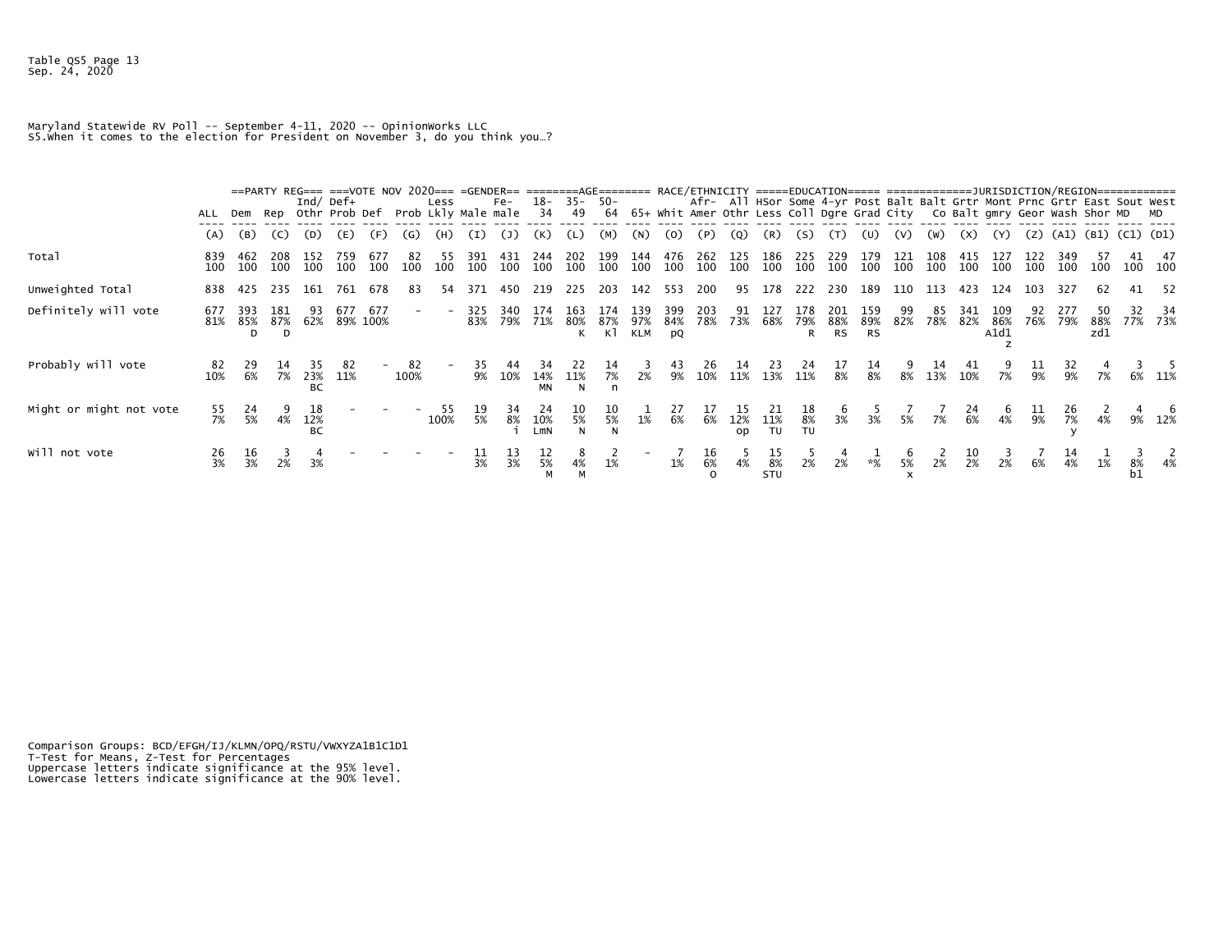Maryland Statewide RV Poll -- September 4-11, 2020 -- OpinionWorks LLC S5.When it comes to the election for President on November 3, do you think you…?

|                         | ALL              | Dem        |          |                  | ==PARTY REG=== ===VOTE NOV 2020=== =GENDER== ========AGE======= RACE/ETHNICITY =====EDUCATION===== =================URISDICTION/REGION==============<br>Ind/ Def $+$<br>Rep Othr Prob Def |            |            | Less<br>Prob Lkly Male male 34 |                  | Fe-              | 18-              | 35- 50-<br>49       |           |                   |                  |                  |            |                         |          | Afr- All HSor Some 4-yr Post Balt Balt Grtr Mont Prnc Grtr East Sout West<br>64 65+ whit Amer Othr Less Coll Dgre Grad City Co Balt gmry Geor Wash Shor MD MD |                  |     |           |                  |             |            |            |                           |    |               |
|-------------------------|------------------|------------|----------|------------------|-------------------------------------------------------------------------------------------------------------------------------------------------------------------------------------------|------------|------------|--------------------------------|------------------|------------------|------------------|---------------------|-----------|-------------------|------------------|------------------|------------|-------------------------|----------|---------------------------------------------------------------------------------------------------------------------------------------------------------------|------------------|-----|-----------|------------------|-------------|------------|------------|---------------------------|----|---------------|
|                         | (A)              | (B)        | (C)      | (D)              | (E)                                                                                                                                                                                       | (F)        | (G)        | (H)                            | (I)              | (1)              | (K)              | (L)                 | (M)       | (N)               | (0)              | (P)              | (Q)        | (R)                     | (S)      | (T)                                                                                                                                                           | (U)              | (V) | (W)       | (X)              | (Y)         |            |            | $(Z)$ (A1) (B1) (C1) (D1) |    |               |
| Total                   | 839<br>100       | 462        | 208      | 152              | 759<br>100 100 100 100                                                                                                                                                                    | 677<br>100 | 82<br>100  | 55<br>100                      | 391<br>100       | 431<br>100       | 244              | 202<br>100 100 100  | 199       | 144<br>100        | 476<br>100       | 262<br>100       | 125<br>100 | 186<br>100              | 225      | 229<br>100 100 100 100 100                                                                                                                                    | 179              | 121 | 108       | 415<br>100       | 127<br>100  | 122<br>100 | 349        | 100 100                   |    | 100 100       |
| Unweighted Total        | 838              | 425        | 235      | 161              | 761                                                                                                                                                                                       | 678        | 83         | 54                             | 371              | 450              | 219              | 225                 | 203       | 142               | 553              | 200              |            | 95 178                  | 222      | 230                                                                                                                                                           | 189              | 110 | 113       | 423              | 124         | 103        | 327        |                           |    | 52            |
| Definitely will vote    | 677<br>81%       | 393<br>85% | 181<br>D | 93               | 677<br>87% 62% 89% 100%                                                                                                                                                                   | 677        |            |                                | 325<br>83%       | 340<br>79%       | 174<br>71%       | 163<br>80%          | 87%<br>K1 | 139<br>97%<br>KLM | 399<br>84%<br>pQ | 203<br>78%       | 91<br>73%  | 127<br>68%              | 178<br>R | 201<br>79% 88% 89% 82%<br><b>RS</b>                                                                                                                           | 159<br><b>RS</b> | 99  | 85<br>78% | 341<br>82% 86%   | 109<br>A1d1 | 92<br>76%  | 277<br>79% | 88%<br>zd1                |    | 34<br>77% 73% |
| Probably will vote      | 82<br>10%        | -29<br>6%  | 7%       | 23%<br><b>BC</b> | 11%                                                                                                                                                                                       |            | 82<br>100% |                                | 35<br>9%         | 10%              | 14%<br><b>MN</b> | 11%<br>$\mathsf{N}$ | 7%<br>n   | 2%                | 9%               | 26<br>10%        | 14<br>11%  | 23<br>13%               | 11%      | 8%                                                                                                                                                            | 14<br>8%         | 8%  | 13%       | 10%              | 7%          | 9%         | 9%         | 7%                        |    | 6% 11%        |
| Might or might not vote | 55<br>7%         | 5%         | 4%       | 12%<br>BC        |                                                                                                                                                                                           |            |            | 100%                           | 5%               | 8%               | 10%<br>$L$ mN    | 5%                  | 5%        | 1%                | 6%               | 6%               | 12%<br>op  | 11%<br>TU               | 8%<br>TU | 3%                                                                                                                                                            | 3%               | 5%  | 7%        | $\frac{24}{6\%}$ | 4%          | 9%         | 7%         |                           |    | 9% 12%        |
| will not vote           | $\frac{26}{3\%}$ | 3%         |          |                  |                                                                                                                                                                                           |            |            |                                | $\frac{11}{3\%}$ | $\frac{13}{3\%}$ | 12<br>5%         | 4%                  | 1%        |                   | 1%               | $\frac{16}{6\%}$ | 4%         | $\frac{15}{8\%}$<br>STU | 2%       | 2%                                                                                                                                                            | $* \frac{1}{2}$  | 5%  | 2%        | $\frac{10}{2%}$  | 2%          | 6%         | 4%         | 1%                        | 8% |               |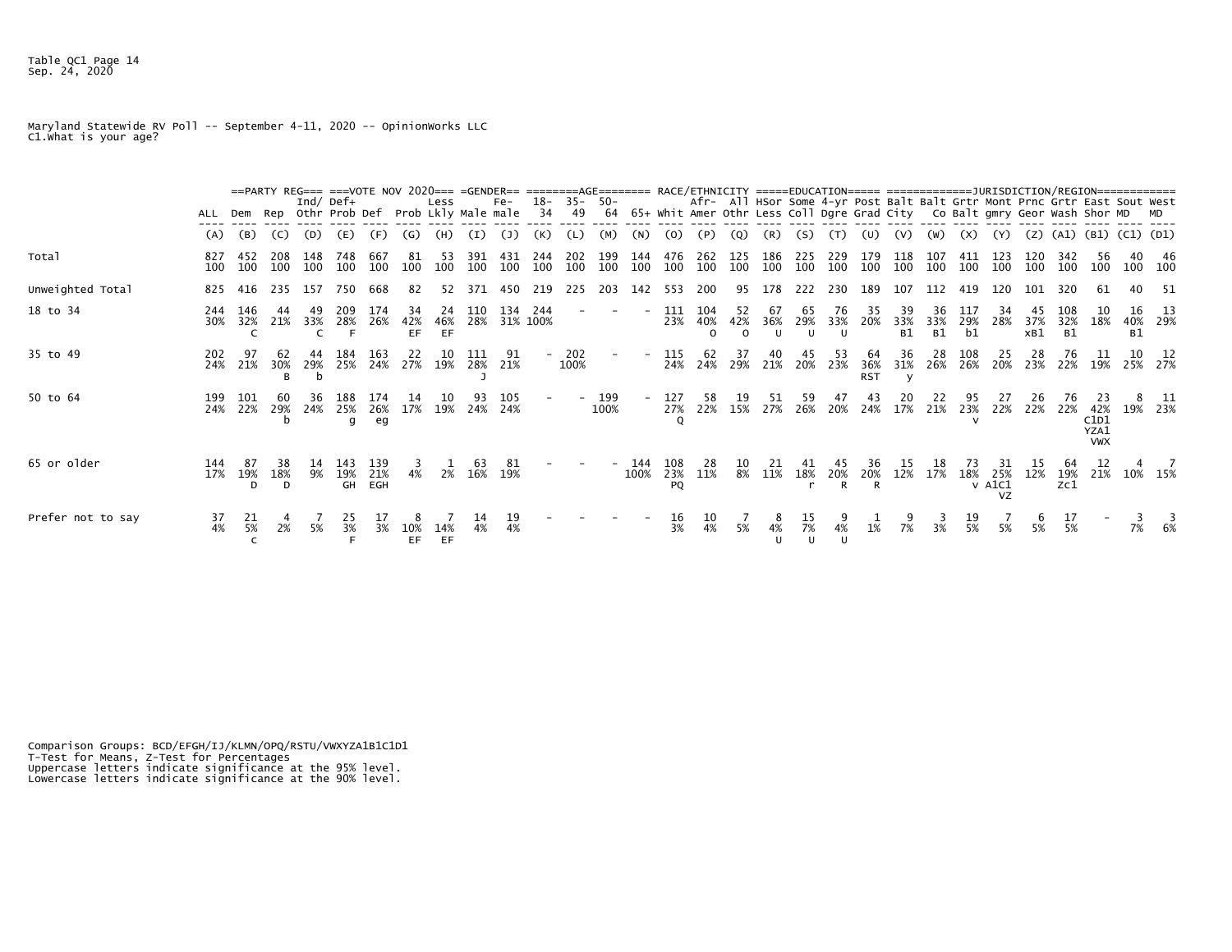Table QC1 Page 14 Sep. 24, 2020

Maryland Statewide RV Poll -- September 4-11, 2020 -- OpinionWorks LLC C1.What is your age?

|                   |            |            |          |              |                       |            | ==PARTY REG=== ===VOTE NOV 2020=== =GENDER== ========AGE======= RACE/ETHNICITY =====EDUCATION===== =============JURISDICTION/REGION============ |                 |            |                     |            |             |                        |             |                       |                        |                       |                           |                |                           |                         |                 |                  |                  |                          |                                                                                                                                                         |                         |                                          |           |                       |
|-------------------|------------|------------|----------|--------------|-----------------------|------------|-------------------------------------------------------------------------------------------------------------------------------------------------|-----------------|------------|---------------------|------------|-------------|------------------------|-------------|-----------------------|------------------------|-----------------------|---------------------------|----------------|---------------------------|-------------------------|-----------------|------------------|------------------|--------------------------|---------------------------------------------------------------------------------------------------------------------------------------------------------|-------------------------|------------------------------------------|-----------|-----------------------|
|                   | ALL        |            |          | Ind/ Def $+$ | Dem Rep Othr Prob Def |            | Prob Lkly Male male                                                                                                                             | Less            |            | Fe-                 | 34         | 49          | $18 - 35 - 50 -$<br>64 |             |                       |                        |                       |                           |                |                           |                         |                 |                  |                  |                          | Afr- All HSor Some 4-yr Post Balt Balt Grtr Mont Prnc Grtr East Sout West<br>65+ Whit Amer Othr Less Coll Dgre Grad City Co Balt gmry Geor Wash Shor MD |                         |                                          |           |                       |
|                   | (A)        | (B)        | (C)      | (D)          | (E)                   | (F)        | (G)                                                                                                                                             | (H)             | (I)        | (J)                 | (K)        |             | (M)                    | (N)         | (0)                   | (P)                    | (Q)                   | (R)                       | (S)            |                           | (U)                     | (V)             | (W)              | (x)              | (Y)                      | (Z)                                                                                                                                                     | (A1)                    | (B1) (C1) (D1)                           |           |                       |
| Total             | 827<br>100 | 452<br>100 | 100      | 148<br>100   | 748<br>100            | 667<br>100 | 81<br>100                                                                                                                                       | 53<br>100       | 391<br>100 | 431<br>100          | 244<br>100 | 202<br>100  | 199<br>100             | 144<br>100  | 476<br>100            | 262<br>100             | 125<br>100            | 186<br>100                | 225<br>100     | 229                       | 179<br>100 100          | 118<br>100      | 107<br>100       | 411<br>100       | 123<br>100               | 100                                                                                                                                                     | 342<br>100              | 56<br>100                                | 40        | -46<br>100 100        |
| Unweighted Total  | 825        | 416        | 235      | 157          | 750                   | 668        | 82                                                                                                                                              | 52              |            | 371 450             | 219        | 225         | 203                    | 142         | 553                   | 200                    | 95                    | 178                       | 222            |                           | 230 189                 | 107             | 112 419          |                  | 120                      | 101                                                                                                                                                     | 320                     | -61                                      | 40        | - 51                  |
| 18 to 34          | 244<br>30% | 146<br>32% | 21%      | 33%          | 209<br>28%            | 174<br>26% | 34<br>42%<br>EF.                                                                                                                                | 24<br>46%<br>EF | 110        | 134<br>28% 31% 100% | 244        |             |                        |             | 111<br>23%            | 104<br>40%<br>$\Omega$ | 52<br>42%<br>$\Omega$ | 67<br>36%<br>$\mathbf{H}$ | 65<br>29%<br>u | 76<br>33%<br>$\mathbf{U}$ | 35<br>20%               | 39<br>33%<br>B1 | 36<br>33%<br>B1  | 117<br>29%<br>b1 | 34<br>28%                | 37%<br>xB1                                                                                                                                              | 108<br>32%<br><b>B1</b> | 18%                                      | <b>B1</b> | 13<br>40% 29%         |
| 35 to 49          | 202<br>24% | 21%        | 30%<br>R | 29%          | 184<br>25%            | 163<br>24% | 22<br>27%                                                                                                                                       | 10<br>19%       | 111<br>28% | 21%                 |            | 202<br>100% |                        |             | 115<br>24%            | $^{62}_{24\%}$         | $\frac{37}{29\%}$     | 40<br>21%                 | 45<br>20%      | 53<br>23%                 | 64<br>36%<br><b>RST</b> | 36<br>31%       | $\frac{28}{26%}$ | 108<br>26%       | $^{25}_{20\%}$           | $\frac{28}{23\%}$                                                                                                                                       | 76<br>22%               | $\begin{array}{c} 11 \ 19\% \end{array}$ |           | $\frac{10}{25\%}$ 27% |
| 50 to 64          | 199<br>24% | 101<br>22% | 29%      |              | 24% 25%<br>g          | 26%<br>eg  | 17%                                                                                                                                             | 10<br>19%       | 24%        | 105<br>24%          |            |             | 199<br>100%            |             | 127<br>27%<br>$\circ$ | 58<br>22%              | 19<br>15%             | 51<br>27%                 | 59<br>26%      | 20%                       | 43<br>24%               | 20<br>17%       | 22<br>21%        | $\frac{95}{23%}$ | 22%                      | 22%                                                                                                                                                     | 76<br>22%               | 23<br>42%<br>C1D1<br>YZA1<br><b>VWX</b>  |           | 19% 23%               |
| 65 or older       | 144<br>17% | 19%<br>D   | 18%<br>D | 9%           | 19%<br>GH             | 21%<br>EGH | 4%                                                                                                                                              | 2%              | 63<br>16%  | 19%                 |            |             |                        | 144<br>100% | 108<br>23%<br>PQ      | 28<br>11%              | 8%                    | 11%                       | 18%            | 20%<br>R                  | 20%<br>R                | 12%             | 17%              | 18%              | 25%<br>$v$ Alc $1$<br>VZ | 12%                                                                                                                                                     | 19%<br>Zc1              | 21%                                      |           | 10% 15%               |
| Prefer not to say | 37<br>4%   | 21<br>5%   | 2%       | 5%           | 25<br>3%              | 3%         | ŏ<br>10%<br>EF.                                                                                                                                 | 14%<br>EF       | 14         | 19<br>4%            |            |             |                        |             | 16<br>3%              | 10<br>4%               | 5%                    | 4%                        | ŢР<br>7%       | 4%                        | 1%                      | 7%              | 3%               | 19<br>5%         | 5%                       | 5%                                                                                                                                                      | 5%                      |                                          | 7%        | 6%                    |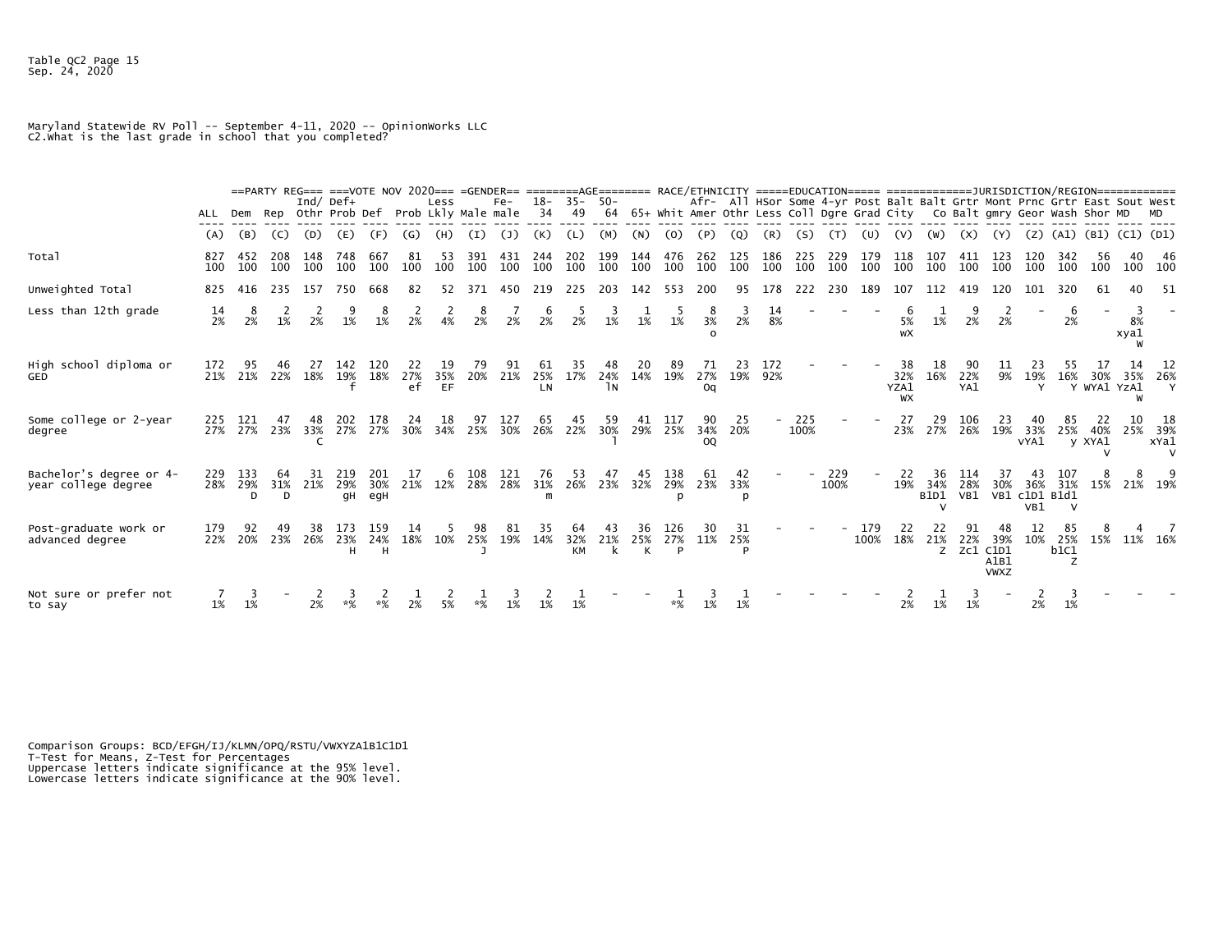Maryland Statewide RV Poll -- September 4-11, 2020 -- OpinionWorks LLC C2.What is the last grade in school that you completed?

|                                                |            |                  |                |            | ==PARTY REG=== ===VOTE NOV 2020=== =GENDER== ========AGE======= RACE/ETHNICITY =====EDUCATION===== ==================DURISDICTION/REGION============= |                   |                 |                 |            |            |                 |                        |            |                |                 |                        |            |            |             |             |             |                         |                                   |                                                                            |                            |                         |                      |               |            |                                                                           |
|------------------------------------------------|------------|------------------|----------------|------------|-------------------------------------------------------------------------------------------------------------------------------------------------------|-------------------|-----------------|-----------------|------------|------------|-----------------|------------------------|------------|----------------|-----------------|------------------------|------------|------------|-------------|-------------|-------------|-------------------------|-----------------------------------|----------------------------------------------------------------------------|----------------------------|-------------------------|----------------------|---------------|------------|---------------------------------------------------------------------------|
|                                                | ALL        | Dem              |                |            | Ind/ Def $+$<br>Rep Othr Prob Def Prob Lkly Male male                                                                                                 |                   |                 | Less            |            | $Fe-$      | $18-$<br>-34    | $35 -$<br>49           | -50<br>64  |                |                 |                        |            |            |             |             |             |                         |                                   | 65+ Whit Amer Othr Less Coll Dgre Grad City Co Balt gmry Geor Wash Shor MD |                            |                         |                      |               |            | Afr- All HSor Some 4-yr Post Balt Balt Grtr Mont Prnc Grtr East Sout West |
|                                                | (A)        | (B)              | (C)            | (D)        | (E)                                                                                                                                                   | (F)               | (G)             | (H)             | (I)        | (1)        | (K)             | (L)                    | (M)        | (N)            | (0)             |                        |            | (R)        | (S)         |             |             | (V)                     | (W)                               | (X)                                                                        | (Y)                        | (Z)                     | (A1) (B1) (C1) (D1)  |               |            |                                                                           |
| Total                                          | 827<br>100 | 452<br>100       | 208<br>100     | 148<br>100 | 748<br>100                                                                                                                                            | 667<br>100        | 81<br>100       | 53<br>100       | 391<br>100 | 431<br>100 | 244<br>100      | 202<br>100             | 199<br>100 | 144<br>100     | 476<br>100      | 262<br>100             | 125<br>100 | 186<br>100 | 225<br>100  | 229<br>100  | 179<br>100  | 118<br>100              | 107<br>100                        | 411<br>100                                                                 | 123<br>100                 | 120<br>100              | 342<br>100           | 56<br>100     | 40<br>100  | -46<br>100                                                                |
| Unweighted Total                               | 825        | 416              | 235            | 157        | 750                                                                                                                                                   | 668               | 82              | 52              | 371        | 450        | 219             | 225                    | 203        | 142            | 553             | 200                    | 95         | 178        | 222         | 230         | 189         | 107                     |                                   | 419                                                                        |                            |                         |                      | 61            |            | -51                                                                       |
| Less than 12th grade                           | 14<br>2%   | 8<br>2%          | 1%             | 2%         | 1%                                                                                                                                                    | 1%                | 2%              | 4%              | 2%         | 2%         | 6<br>2%         | 2%                     | 1%         | 1%             | 1%              | 3%                     | 2%         | 14<br>8%   |             |             |             | 5%<br>wX                | 1%                                | 2%                                                                         | 2%                         |                         | 6<br>2%              |               | 8%<br>xya1 |                                                                           |
| High school diploma or<br>GED                  | 172<br>21% | 95<br>21%        | 22%            | 18%        | 142<br>19%                                                                                                                                            | 120<br>18%        | 22<br>27%<br>ef | 19<br>35%<br>EF | 79<br>20%  | 91<br>21%  | 61<br>25%<br>LN | 17%                    | 24%<br>٦N  | 20<br>14%      | 89<br>19%       | 27%<br>Oq              | 23<br>19%  | 172<br>92% |             |             |             | 38<br>32%<br>YZA1<br>WX | 18<br>16%                         | 22%<br>YA1                                                                 | 9%                         | 19%<br>Y                | 16%                  | Y WYA1 YZA1   | 35%<br>W   | -12<br>26%<br>Y                                                           |
| Some college or 2-year<br>degree               | 225<br>27% | 121<br>27%       | 47<br>23%      | 48<br>33%  | 202<br>27%                                                                                                                                            | 178<br>27%        | 24<br>30%       | 18<br>34%       | 97<br>25%  | 127<br>30% | 65<br>26%       | 45<br>22%              | 59<br>30%  | 41<br>29%      | -117<br>25%     | 90<br>34%<br><b>OQ</b> | 25<br>20%  |            | 225<br>100% |             |             | 27<br>23%               | 29<br>27%                         | 106<br>26%                                                                 | 23<br>19%                  | 33%<br>VYA1             | 85.<br>25%           | 40%<br>y XYA1 | 10         | -18<br>25% 39%<br>xYa1                                                    |
| Bachelor's degree or 4-<br>year college degree | 229<br>28% | 133<br>29%<br>D. | 64<br>31%<br>D | 21%        | 219<br>29%<br>qΗ                                                                                                                                      | 201<br>30%<br>egH | 21%             | 12%             | 108<br>28% | 121<br>28% | 76<br>31%<br>m  | 53<br>26%              | 23%        | 32%            | 138<br>29%      | 61<br>23%              | 33%        |            |             | 229<br>100% |             | 22<br>19%               | 36<br>34%<br>B1D1<br>$\mathsf{V}$ | 114<br>28%<br>VB1                                                          | 37<br>30%<br>VB1           | 36%<br>c1D1 B1d1<br>VB1 | 107<br>31%<br>$\vee$ | 15%           |            | 21% 19%                                                                   |
| Post-graduate work or<br>advanced degree       | 179<br>22% | 92<br>20%        | 49<br>23%      | 38<br>26%  | 173<br>23%<br>н                                                                                                                                       | 159<br>24%<br>н   | 18%             | 10%             | 25%        | 81<br>19%  | 14%             | 64<br>32%<br><b>KM</b> | 21%<br>k   | 36<br>25%<br>K | 126<br>27%<br>P | 30<br>11%              | 31<br>25%  |            |             |             | 179<br>100% | 18%                     | 21%<br>z                          | 22%<br>Zc1 C1D1                                                            | 39%<br>A1B1<br><b>VWXZ</b> | 10%                     | 25%<br>b1C1<br>z     | 15%           |            | 11% 16%                                                                   |
| Not sure or prefer not<br>to say               | 1%         |                  |                |            |                                                                                                                                                       |                   |                 |                 |            |            |                 | 1%                     |            |                |                 |                        |            |            |             |             |             | 2%                      | 1%                                | 1%                                                                         |                            | 2%                      | 1%                   |               |            |                                                                           |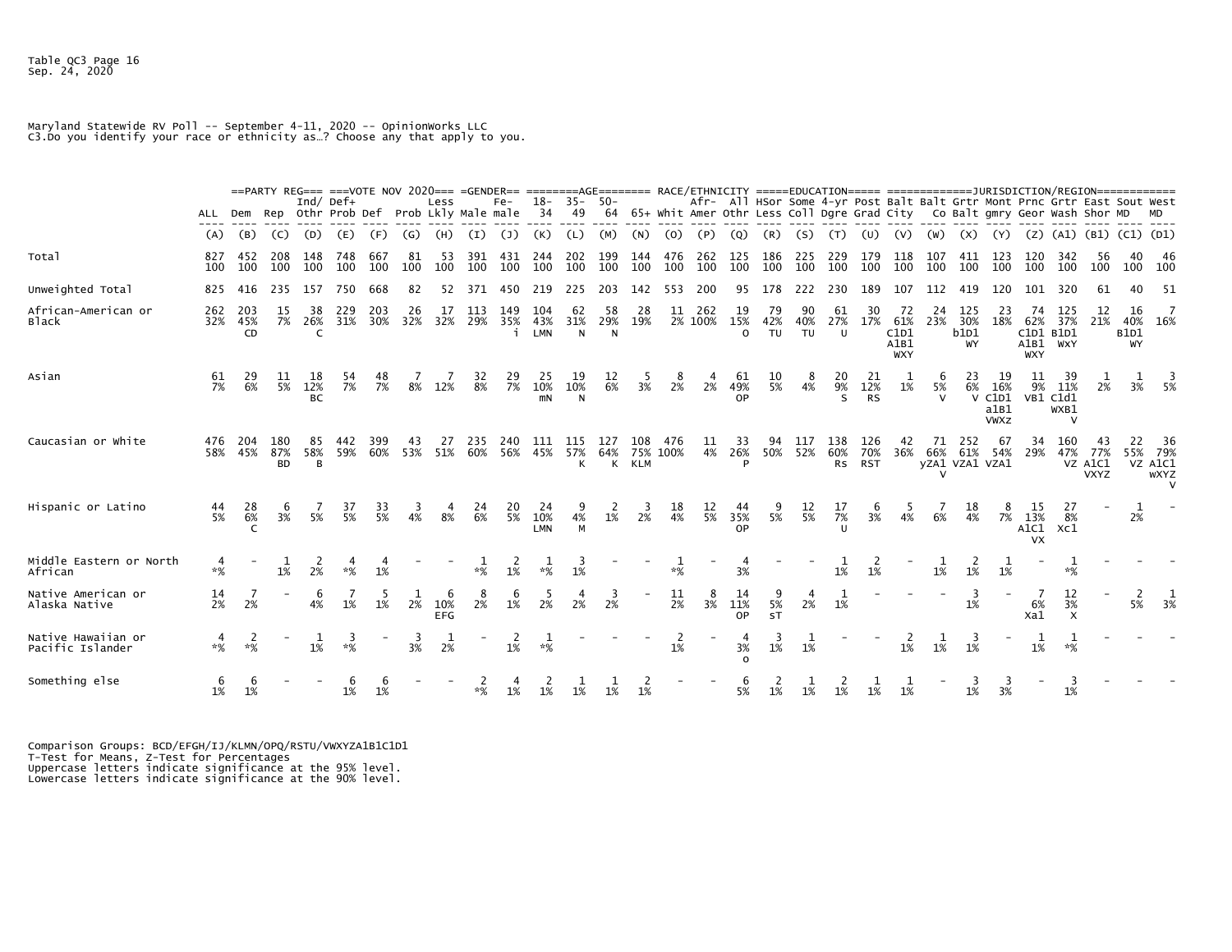## Maryland Statewide RV Poll -- September 4-11, 2020 -- OpinionWorks LLC C3.Do you identify your race or ethnicity as…? Choose any that apply to you.

|                                        |            |                  |                         |                        | ==PARTY REG=== ===VOTE NOV 2020=== =GENDER== ========AGE======= RACE/ETHNICITY =====EDUCATION===== =============== URISDICTION/REGION============= |            |           |                        |            |               |                   |                        |                |                               |            |                |                       |                                                                                                                                                                    |                 |                         |                          |                                         |                           |                              |                                      |                                         |                                               |                               |                                |                                                |
|----------------------------------------|------------|------------------|-------------------------|------------------------|----------------------------------------------------------------------------------------------------------------------------------------------------|------------|-----------|------------------------|------------|---------------|-------------------|------------------------|----------------|-------------------------------|------------|----------------|-----------------------|--------------------------------------------------------------------------------------------------------------------------------------------------------------------|-----------------|-------------------------|--------------------------|-----------------------------------------|---------------------------|------------------------------|--------------------------------------|-----------------------------------------|-----------------------------------------------|-------------------------------|--------------------------------|------------------------------------------------|
|                                        | ALL        | Dem              |                         | Ind/ $Def+$            | Rep Othr Prob Def Prob Lkly Male male                                                                                                              |            |           | Less                   |            | $Fe-$         | - 34              | $18 - 35 - 50 -$<br>49 |                |                               |            |                |                       | Afr- All HSor Some 4-yr Post Balt Balt Grtr Mont Prnc Grtr East Sout West<br>64 65+ Whit Amer Othr Less Coll Dgre Grad City         Co Balt gmry Geor Wash Shor MD |                 |                         |                          |                                         |                           |                              |                                      |                                         |                                               |                               |                                |                                                |
|                                        | (A)        | (B)              | (C)                     | (D)                    | (E)                                                                                                                                                | (F)        | (G)       | (H)                    | (I)        | (J)           | (K)               | (L)                    | (M)            | (N)                           | (0)        | (P)            | (Q)                   | (R)                                                                                                                                                                | (S)             | (T)                     | (U)                      | (V)                                     | (W)                       | (x)                          | (Y)                                  | (Z)                                     | (A1)                                          | (B1)                          | $(C1)$ $(D1)$                  |                                                |
| Total                                  | 827<br>100 | 452<br>100       | 208<br>100              | 148<br>100             | 748<br>100                                                                                                                                         | 667<br>100 | 81<br>100 | 53<br>100              | 391<br>100 | 431<br>100    | 244<br>100        | 202<br>100             | 199<br>100     | 144<br>100                    | 476<br>100 | 262<br>100     | 125<br>100            | 186<br>100                                                                                                                                                         | 225<br>100      | 229<br>100              | 179<br>100               | 118<br>100                              | 107<br>100                | 411<br>100                   | 123<br>100                           | 120<br>100                              | 342<br>100                                    | -56<br>100                    | 40<br>100                      | -46<br>100                                     |
| Unweighted Total                       | 825        | 416              | 235                     | 157                    | 750                                                                                                                                                | 668        | 82        | 52                     | 371        | 450           | 219               | 225                    | 203            | 142                           | 553        | 200            | 95                    | 178                                                                                                                                                                | 222             | 230                     | 189                      | 107                                     | 112                       | 419                          | 120                                  |                                         | 320                                           |                               | 40                             | -51                                            |
| African-American or<br><b>Black</b>    | 262<br>32% | 203<br>45%<br>CD | 15<br>7%                | 38<br>26%<br>C         | 229<br>31%                                                                                                                                         | 203<br>30% | 26<br>32% | 17<br>32%              | 113<br>29% | 149<br>35%    | 104<br>43%<br>LMN | 62<br>31%<br>N         | 58<br>29%<br>N | 28<br>19%                     | 11         | 262<br>2% 100% | 19<br>15%<br>$\Omega$ | 79<br>42%<br>TU                                                                                                                                                    | 90<br>40%<br>TU | 61<br>27%<br>U          | 30<br>17%                | 72<br>61%<br>C1D1<br>A1B1<br><b>WXY</b> | 24<br>23%                 | 125<br>30%<br>b1D1<br>WY     | 23<br>18%                            | 74<br>62%<br>C1D1<br>A1B1<br><b>WXY</b> | 125<br>37%<br>B1D1<br>WXY                     | 12<br>21%                     | 16<br>40%<br><b>B1D1</b><br>WY | 16%                                            |
| Asian                                  | 61<br>7%   | 29<br>6%         | 11<br>5%                | 18<br>12%<br><b>BC</b> | 54<br>7%                                                                                                                                           | 48<br>7%   | 8%        | 12%                    | 32<br>8%   | $^{29}_{7\%}$ | 25<br>10%<br>mN   | 19<br>10%<br>N         | 12<br>6%       | 3%                            | 8<br>2%    | 2%             | 61<br>49%<br>0P       | $\frac{10}{5\%}$                                                                                                                                                   | 8<br>4%         | 20<br>9%<br>S           | 21<br>12%<br><b>RS</b>   | 1%                                      | 6<br>5%<br>$\mathsf{v}$   | 23<br>6%                     | 16%<br>V C1D1<br>a1B1<br><b>VWXZ</b> | 11<br>9%                                | 39<br>11%<br>VB1 C1d1<br>WXB1<br>$\checkmark$ | 2%                            | 3%                             | 5%                                             |
| Caucasian or White                     | 476<br>58% | 204<br>45%       | 180<br>87%<br><b>BD</b> | 85<br>58%<br>B         | 59%                                                                                                                                                | 399<br>60% | 43<br>53% | 27<br>51%              | 235<br>60% | 240<br>56%    | 111<br>45%        | 115<br>57%<br>К        | 64%<br>К       | 108<br>75% 100%<br><b>KLM</b> | -476       | 11<br>4%       | 33<br>26%<br>Þ        | 94<br>50%                                                                                                                                                          | 52%             | 138<br>60%<br><b>RS</b> | 126<br>70%<br><b>RST</b> | 42<br>36%                               | 71<br>66%<br>$\checkmark$ | 252<br>61%<br>yZA1 VZA1 VZA1 | -67<br>54%                           | 34<br>29%                               | 160<br>47%                                    | 77%<br>VZ A1C1<br><b>VXYZ</b> | 22<br>55%                      | -36<br>79%<br>VZ A1C1<br><b>WXYZ</b><br>$\vee$ |
| Hispanic or Latino                     | 44<br>5%   | 28<br>6%         | 3%                      | 5%                     | 37<br>5%                                                                                                                                           | 33<br>5%   | 4%        | 8%                     | 24<br>6%   | 20<br>5%      | 24<br>10%<br>LMN  | 4%<br>M                | 1%             | 2%                            | 18<br>4%   | 12<br>5%       | 44<br>35%<br>0P       | 5%                                                                                                                                                                 | 12<br>5%        | 7%                      | 3%                       | 4%                                      | 6%                        | 18<br>4%                     | 7%                                   | 15<br>13%<br>A1C1 Xc1<br><b>VX</b>      | 8%                                            |                               | 2%                             |                                                |
| Middle Eastern or North<br>African     | $*%$       |                  | 1%                      | 2%                     |                                                                                                                                                    | 1%         |           |                        | $*%$       | 1%            | $*%$              | 1%                     |                |                               | $*%$       |                | 3%                    |                                                                                                                                                                    |                 | 1%                      | 1%                       |                                         | 1%                        | 1%                           | 1%                                   |                                         | $*%$                                          |                               |                                |                                                |
| Native American or<br>Alaska Native    | 14<br>2%   | 2%               |                         | 6<br>4%                | 1%                                                                                                                                                 | 1%         | 2%        | 6<br>10%<br><b>EFG</b> | 8<br>2%    | 1%            | 2%                | 2%                     | 3<br>2%        |                               | 11<br>2%   | 3%             | 14<br>11%<br>0P       | 5%<br>ST                                                                                                                                                           | 2%              | 1%                      |                          |                                         |                           | -3<br>1%                     |                                      | 6%<br>Xa1                               | 12<br>3%<br>$\times$                          |                               | 2<br>5%                        | 3%                                             |
| Native Hawaiian or<br>Pacific Islander | $*%$       | $*%$             |                         | 1%                     | З<br>$*%$                                                                                                                                          |            | 3<br>3%   | 2%                     |            | 1%            | $* \mathcal{K}$   |                        |                |                               | 2<br>1%    |                | 3%<br>$\Omega$        | 1%                                                                                                                                                                 | 1%              |                         |                          | 2<br>1%                                 | 1%                        | -3<br>1%                     |                                      | 1%                                      | 1<br>$*%$                                     |                               |                                |                                                |
| Something else                         | 1%         | 1%               |                         |                        | 1%                                                                                                                                                 | 1%         |           |                        | *%         | 1%            | 1%                |                        |                | 1%                            |            |                | 5%                    | 1%                                                                                                                                                                 | 1%              | 1%                      | 1%                       | 1%                                      |                           | 1%                           | 3%                                   |                                         | 1%                                            |                               |                                |                                                |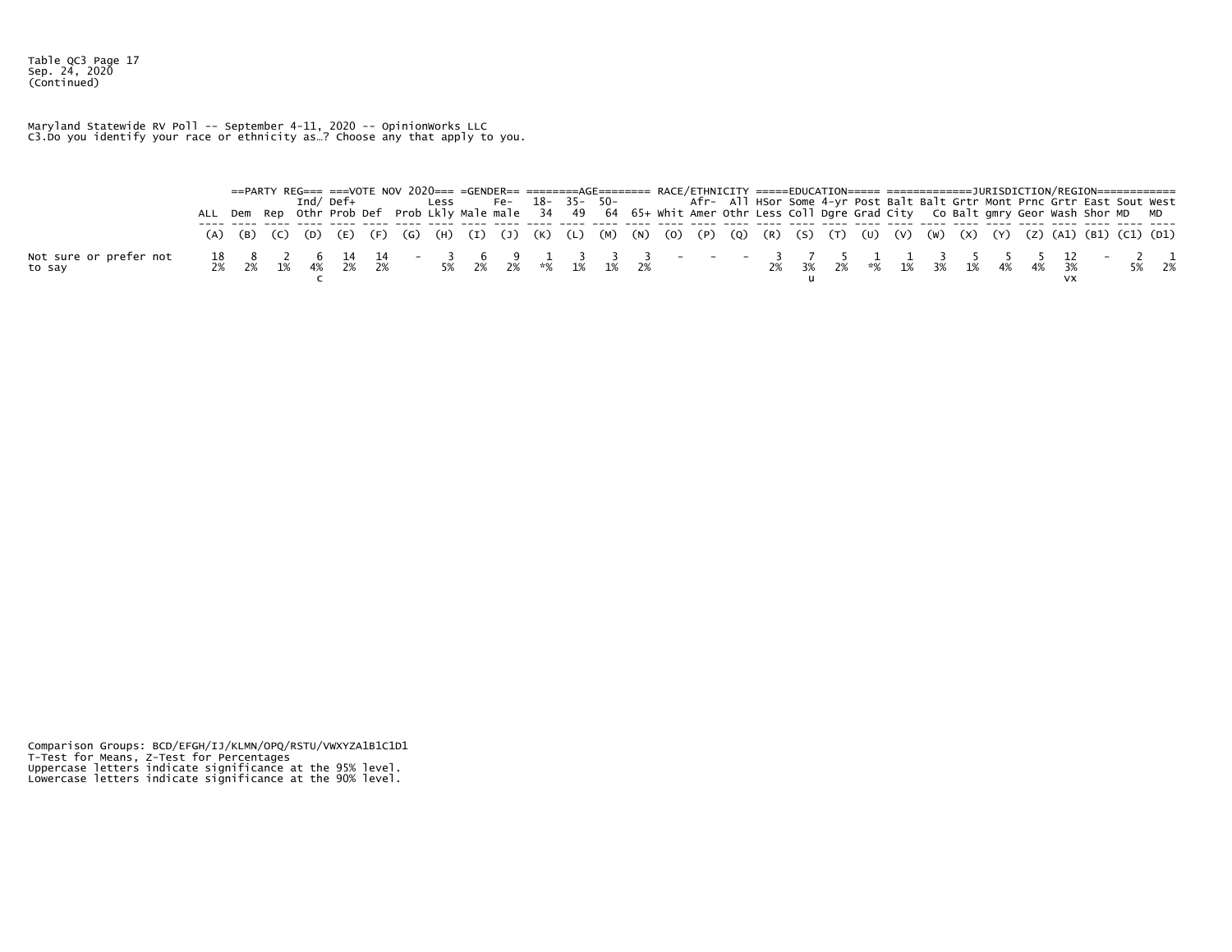Table QC3 Page 17 Sep. 24, 2020 (Continued)

Maryland Statewide RV Poll -- September 4-11, 2020 -- OpinionWorks LLC C3.Do you identify your race or ethnicity as…? Choose any that apply to you.

|  |  |  |  |  |  |  | ==PARTY REG=== ===VOTE NOV 2020=== =GENDER== ========AGE======= RACE/ETHNICITY =====EDUCATION===== =====================DURISDICTION/REGION============= |  |  |  |  |  |  |  |  |
|--|--|--|--|--|--|--|----------------------------------------------------------------------------------------------------------------------------------------------------------|--|--|--|--|--|--|--|--|
|  |  |  |  |  |  |  | Ind/Def+ Less Fe- 18-35- 50- Afr- All HSor Some 4-yr Post Balt Balt Grtr Mont Prnc Grtr East Sout West                                                   |  |  |  |  |  |  |  |  |
|  |  |  |  |  |  |  | ALL Dem Rep Othr Prob Def Prob Lkly Male male 34 49 64 65+ whit Amer Othr Less Coll Dgre Grad City Co Balt gmry Geor Wash Shor MD MD                     |  |  |  |  |  |  |  |  |
|  |  |  |  |  |  |  | (A) (B) (C) (D) (E) (F) (G) (H) (I) (J) (K) (L) (M) (N) (O) (P) (Q) (R) (S) (T) (U) (V) (W) (X) (Y) (Z) (A1) (B1) (C1) (D1)                              |  |  |  |  |  |  |  |  |
|  |  |  |  |  |  |  |                                                                                                                                                          |  |  |  |  |  |  |  |  |
|  |  |  |  |  |  |  |                                                                                                                                                          |  |  |  |  |  |  |  |  |